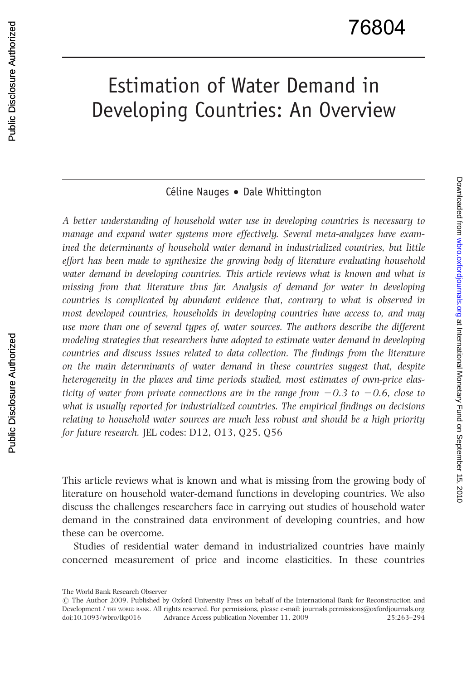# Estimation of Water Demand in Developing Countries: An Overview

#### Céline Nauges · Dale Whittington

A better understanding of household water use in developing countries is necessary to manage and expand water systems more effectively. Several meta-analyzes have examined the determinants of household water demand in industrialized countries, but little effort has been made to synthesize the growing body of literature evaluating household water demand in developing countries. This article reviews what is known and what is missing from that literature thus far. Analysis of demand for water in developing countries is complicated by abundant evidence that, contrary to what is observed in most developed countries, households in developing countries have access to, and may use more than one of several types of, water sources. The authors describe the different modeling strategies that researchers have adopted to estimate water demand in developing countries and discuss issues related to data collection. The findings from the literature on the main determinants of water demand in these countries suggest that, despite heterogeneity in the places and time periods studied, most estimates of own-price elasticity of water from private connections are in the range from  $-0.3$  to  $-0.6$ , close to what is usually reported for industrialized countries. The empirical findings on decisions relating to household water sources are much less robust and should be a high priority for future research. JEL codes: D12, 013, Q25, Q56

This article reviews what is known and what is missing from the growing body of literature on household water-demand functions in developing countries. We also discuss the challenges researchers face in carrying out studies of household water demand in the constrained data environment of developing countries, and how these can be overcome.

Studies of residential water demand in industrialized countries have mainly concerned measurement of price and income elasticities. In these countries

The World Bank Research Observer

<sup>©</sup> The Author 2009. Published by Oxford University Press on behalf of the International Bank for Reconstruction and Development / THE WORLD BANK. All rights reserved. For permissions, please e-mail: journals.permissions@oxfordjournals.org doi;10.1093/wbro/lkp016 Advance Access publication November 11, 2009 25:263–294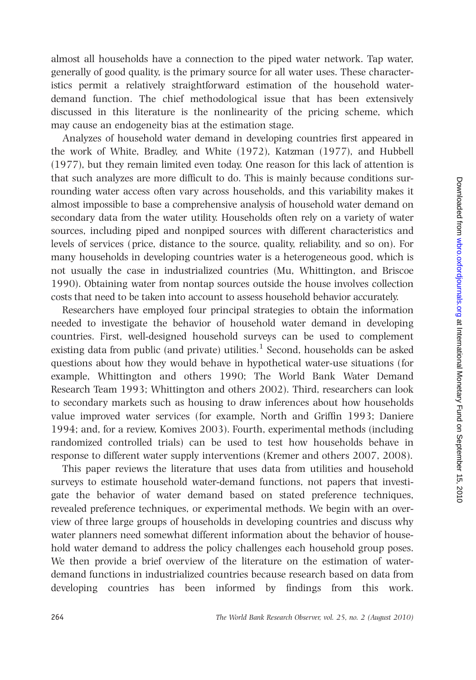almost all households have a connection to the piped water network. Tap water, generally of good quality, is the primary source for all water uses. These characteristics permit a relatively straightforward estimation of the household waterdemand function. The chief methodological issue that has been extensively discussed in this literature is the nonlinearity of the pricing scheme, which may cause an endogeneity bias at the estimation stage.

Analyzes of household water demand in developing countries first appeared in the work of White, Bradley, and White (1972), Katzman (1977), and Hubbell (1977), but they remain limited even today. One reason for this lack of attention is that such analyzes are more difficult to do. This is mainly because conditions surrounding water access often vary across households, and this variability makes it almost impossible to base a comprehensive analysis of household water demand on secondary data from the water utility. Households often rely on a variety of water sources, including piped and nonpiped sources with different characteristics and levels of services (price, distance to the source, quality, reliability, and so on). For many households in developing countries water is a heterogeneous good, which is not usually the case in industrialized countries (Mu, Whittington, and Briscoe 1990). Obtaining water from nontap sources outside the house involves collection costs that need to be taken into account to assess household behavior accurately.

Researchers have employed four principal strategies to obtain the information needed to investigate the behavior of household water demand in developing countries. First, well-designed household surveys can be used to complement existing data from public (and private) utilities.<sup>1</sup> Second, households can be asked questions about how they would behave in hypothetical water-use situations (for example, Whittington and others 1990; The World Bank Water Demand Research Team 1993; Whittington and others 2002). Third, researchers can look to secondary markets such as housing to draw inferences about how households value improved water services (for example, North and Griffin 1993; Daniere 1994; and, for a review, Komives 2003). Fourth, experimental methods (including randomized controlled trials) can be used to test how households behave in response to different water supply interventions (Kremer and others 2007, 2008).

This paper reviews the literature that uses data from utilities and household surveys to estimate household water-demand functions, not papers that investigate the behavior of water demand based on stated preference techniques, revealed preference techniques, or experimental methods. We begin with an overview of three large groups of households in developing countries and discuss why water planners need somewhat different information about the behavior of household water demand to address the policy challenges each household group poses. We then provide a brief overview of the literature on the estimation of waterdemand functions in industrialized countries because research based on data from developing countries has been informed by findings from this work.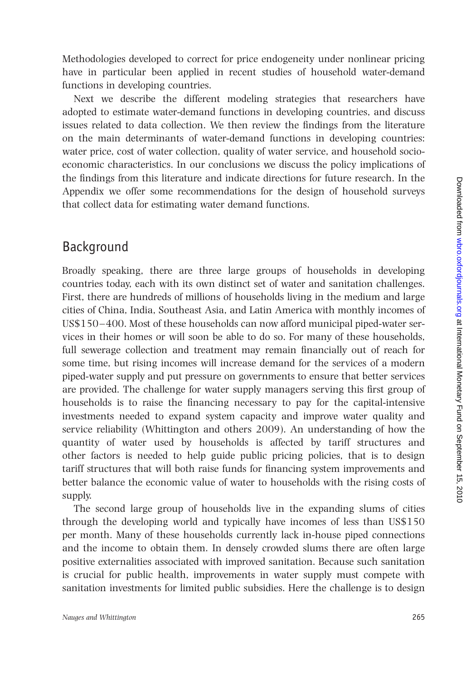Methodologies developed to correct for price endogeneity under nonlinear pricing have in particular been applied in recent studies of household water-demand functions in developing countries.

Next we describe the different modeling strategies that researchers have adopted to estimate water-demand functions in developing countries, and discuss issues related to data collection. We then review the findings from the literature on the main determinants of water-demand functions in developing countries: water price, cost of water collection, quality of water service, and household socioeconomic characteristics. In our conclusions we discuss the policy implications of the findings from this literature and indicate directions for future research. In the Appendix we offer some recommendations for the design of household surveys that collect data for estimating water demand functions.

## Background

Broadly speaking, there are three large groups of households in developing countries today, each with its own distinct set of water and sanitation challenges. First, there are hundreds of millions of households living in the medium and large cities of China, India, Southeast Asia, and Latin America with monthly incomes of US\$150 –400. Most of these households can now afford municipal piped-water services in their homes or will soon be able to do so. For many of these households, full sewerage collection and treatment may remain financially out of reach for some time, but rising incomes will increase demand for the services of a modern piped-water supply and put pressure on governments to ensure that better services are provided. The challenge for water supply managers serving this first group of households is to raise the financing necessary to pay for the capital-intensive investments needed to expand system capacity and improve water quality and service reliability (Whittington and others 2009). An understanding of how the quantity of water used by households is affected by tariff structures and other factors is needed to help guide public pricing policies, that is to design tariff structures that will both raise funds for financing system improvements and better balance the economic value of water to households with the rising costs of supply.

The second large group of households live in the expanding slums of cities through the developing world and typically have incomes of less than US\$150 per month. Many of these households currently lack in-house piped connections and the income to obtain them. In densely crowded slums there are often large positive externalities associated with improved sanitation. Because such sanitation is crucial for public health, improvements in water supply must compete with sanitation investments for limited public subsidies. Here the challenge is to design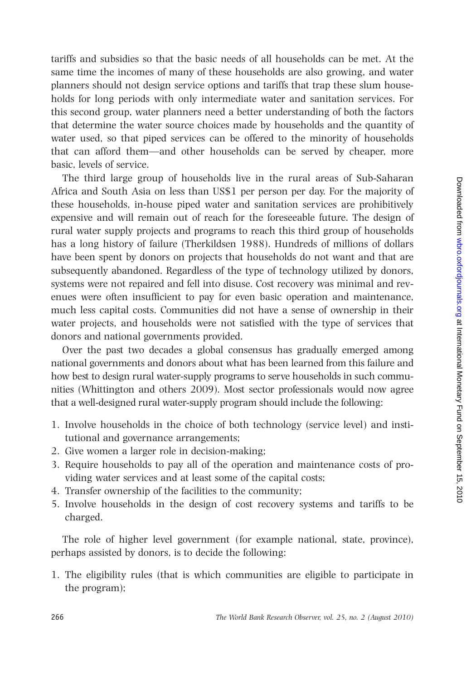tariffs and subsidies so that the basic needs of all households can be met. At the same time the incomes of many of these households are also growing, and water planners should not design service options and tariffs that trap these slum households for long periods with only intermediate water and sanitation services. For this second group, water planners need a better understanding of both the factors that determine the water source choices made by households and the quantity of water used, so that piped services can be offered to the minority of households that can afford them—and other households can be served by cheaper, more basic, levels of service.

The third large group of households live in the rural areas of Sub-Saharan Africa and South Asia on less than US\$1 per person per day. For the majority of these households, in-house piped water and sanitation services are prohibitively expensive and will remain out of reach for the foreseeable future. The design of rural water supply projects and programs to reach this third group of households has a long history of failure (Therkildsen 1988). Hundreds of millions of dollars have been spent by donors on projects that households do not want and that are subsequently abandoned. Regardless of the type of technology utilized by donors, systems were not repaired and fell into disuse. Cost recovery was minimal and revenues were often insufficient to pay for even basic operation and maintenance, much less capital costs. Communities did not have a sense of ownership in their water projects, and households were not satisfied with the type of services that donors and national governments provided.

Over the past two decades a global consensus has gradually emerged among national governments and donors about what has been learned from this failure and how best to design rural water-supply programs to serve households in such communities (Whittington and others 2009). Most sector professionals would now agree that a well-designed rural water-supply program should include the following:

- 1. Involve households in the choice of both technology (service level) and institutional and governance arrangements;
- 2. Give women a larger role in decision-making;
- 3. Require households to pay all of the operation and maintenance costs of providing water services and at least some of the capital costs;
- 4. Transfer ownership of the facilities to the community;
- 5. Involve households in the design of cost recovery systems and tariffs to be charged.

The role of higher level government (for example national, state, province), perhaps assisted by donors, is to decide the following:

1. The eligibility rules (that is which communities are eligible to participate in the program);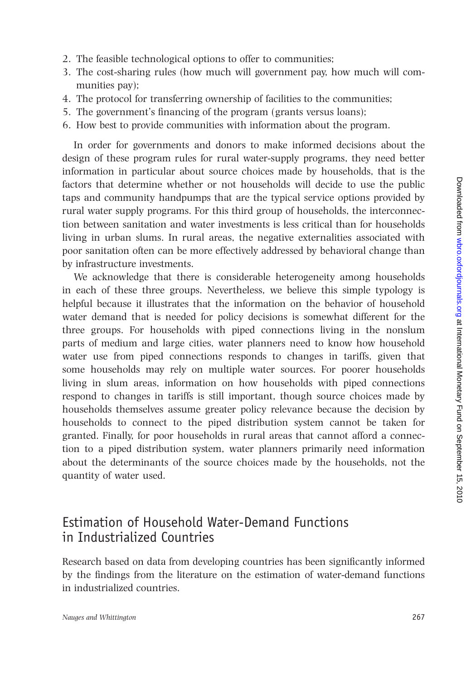- 2. The feasible technological options to offer to communities;
- 3. The cost-sharing rules (how much will government pay, how much will communities pay);
- 4. The protocol for transferring ownership of facilities to the communities;
- 5. The government's financing of the program (grants versus loans);
- 6. How best to provide communities with information about the program.

In order for governments and donors to make informed decisions about the design of these program rules for rural water-supply programs, they need better information in particular about source choices made by households, that is the factors that determine whether or not households will decide to use the public taps and community handpumps that are the typical service options provided by rural water supply programs. For this third group of households, the interconnection between sanitation and water investments is less critical than for households living in urban slums. In rural areas, the negative externalities associated with poor sanitation often can be more effectively addressed by behavioral change than by infrastructure investments.

We acknowledge that there is considerable heterogeneity among households in each of these three groups. Nevertheless, we believe this simple typology is helpful because it illustrates that the information on the behavior of household water demand that is needed for policy decisions is somewhat different for the three groups. For households with piped connections living in the nonslum parts of medium and large cities, water planners need to know how household water use from piped connections responds to changes in tariffs, given that some households may rely on multiple water sources. For poorer households living in slum areas, information on how households with piped connections respond to changes in tariffs is still important, though source choices made by households themselves assume greater policy relevance because the decision by households to connect to the piped distribution system cannot be taken for granted. Finally, for poor households in rural areas that cannot afford a connection to a piped distribution system, water planners primarily need information about the determinants of the source choices made by the households, not the quantity of water used.

# Estimation of Household Water-Demand Functions in Industrialized Countries

Research based on data from developing countries has been significantly informed by the findings from the literature on the estimation of water-demand functions in industrialized countries.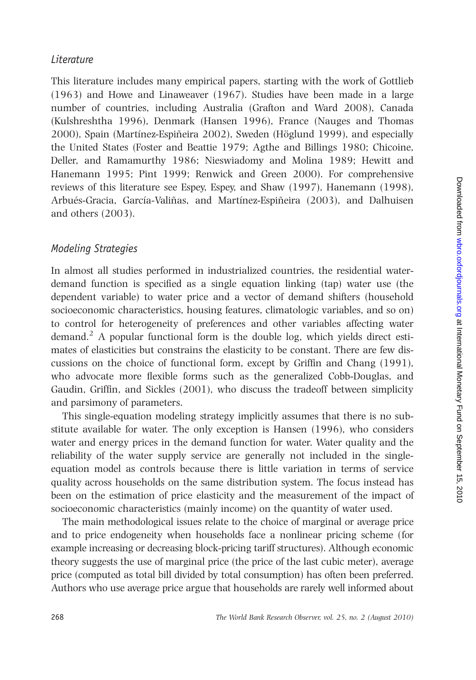#### Literature

This literature includes many empirical papers, starting with the work of Gottlieb (1963) and Howe and Linaweaver (1967). Studies have been made in a large number of countries, including Australia (Grafton and Ward 2008), Canada (Kulshreshtha 1996), Denmark (Hansen 1996), France (Nauges and Thomas 2000), Spain (Martínez-Espiñeira 2002), Sweden (Höglund 1999), and especially the United States (Foster and Beattie 1979; Agthe and Billings 1980; Chicoine, Deller, and Ramamurthy 1986; Nieswiadomy and Molina 1989; Hewitt and Hanemann 1995; Pint 1999; Renwick and Green 2000). For comprehensive reviews of this literature see Espey, Espey, and Shaw (1997), Hanemann (1998), Arbués-Gracia, García-Valiñas, and Martínez-Espiñeira (2003), and Dalhuisen and others (2003).

#### Modeling Strategies

In almost all studies performed in industrialized countries, the residential waterdemand function is specified as a single equation linking (tap) water use (the dependent variable) to water price and a vector of demand shifters (household socioeconomic characteristics, housing features, climatologic variables, and so on) to control for heterogeneity of preferences and other variables affecting water demand.<sup>2</sup> A popular functional form is the double log, which yields direct estimates of elasticities but constrains the elasticity to be constant. There are few discussions on the choice of functional form, except by Griffin and Chang (1991), who advocate more flexible forms such as the generalized Cobb-Douglas, and Gaudin, Griffin, and Sickles (2001), who discuss the tradeoff between simplicity and parsimony of parameters.

This single-equation modeling strategy implicitly assumes that there is no substitute available for water. The only exception is Hansen (1996), who considers water and energy prices in the demand function for water. Water quality and the reliability of the water supply service are generally not included in the singleequation model as controls because there is little variation in terms of service quality across households on the same distribution system. The focus instead has been on the estimation of price elasticity and the measurement of the impact of socioeconomic characteristics (mainly income) on the quantity of water used.

The main methodological issues relate to the choice of marginal or average price and to price endogeneity when households face a nonlinear pricing scheme (for example increasing or decreasing block-pricing tariff structures). Although economic theory suggests the use of marginal price (the price of the last cubic meter), average price (computed as total bill divided by total consumption) has often been preferred. Authors who use average price argue that households are rarely well informed about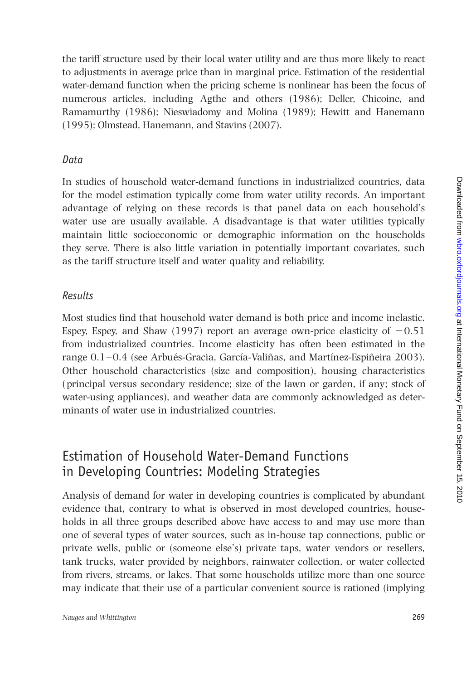the tariff structure used by their local water utility and are thus more likely to react to adjustments in average price than in marginal price. Estimation of the residential water-demand function when the pricing scheme is nonlinear has been the focus of numerous articles, including Agthe and others (1986); Deller, Chicoine, and Ramamurthy (1986); Nieswiadomy and Molina (1989); Hewitt and Hanemann (1995); Olmstead, Hanemann, and Stavins (2007).

#### Data

In studies of household water-demand functions in industrialized countries, data for the model estimation typically come from water utility records. An important advantage of relying on these records is that panel data on each household's water use are usually available. A disadvantage is that water utilities typically maintain little socioeconomic or demographic information on the households they serve. There is also little variation in potentially important covariates, such as the tariff structure itself and water quality and reliability.

#### Results

Most studies find that household water demand is both price and income inelastic. Espey, Espey, and Shaw (1997) report an average own-price elasticity of  $-0.51$ from industrialized countries. Income elasticity has often been estimated in the range  $0.1 - 0.4$  (see Arbués-Gracia, García-Valiñas, and Martínez-Espiñeira 2003). Other household characteristics (size and composition), housing characteristics ( principal versus secondary residence; size of the lawn or garden, if any; stock of water-using appliances), and weather data are commonly acknowledged as determinants of water use in industrialized countries.

# Estimation of Household Water-Demand Functions in Developing Countries: Modeling Strategies

Analysis of demand for water in developing countries is complicated by abundant evidence that, contrary to what is observed in most developed countries, households in all three groups described above have access to and may use more than one of several types of water sources, such as in-house tap connections, public or private wells, public or (someone else's) private taps, water vendors or resellers, tank trucks, water provided by neighbors, rainwater collection, or water collected from rivers, streams, or lakes. That some households utilize more than one source may indicate that their use of a particular convenient source is rationed (implying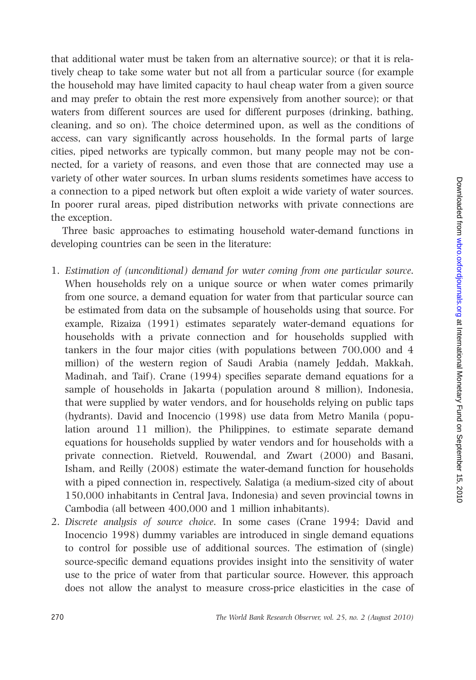that additional water must be taken from an alternative source); or that it is relatively cheap to take some water but not all from a particular source (for example the household may have limited capacity to haul cheap water from a given source and may prefer to obtain the rest more expensively from another source); or that waters from different sources are used for different purposes (drinking, bathing, cleaning, and so on). The choice determined upon, as well as the conditions of access, can vary significantly across households. In the formal parts of large cities, piped networks are typically common, but many people may not be connected, for a variety of reasons, and even those that are connected may use a variety of other water sources. In urban slums residents sometimes have access to a connection to a piped network but often exploit a wide variety of water sources. In poorer rural areas, piped distribution networks with private connections are the exception.

Three basic approaches to estimating household water-demand functions in developing countries can be seen in the literature:

- 1. Estimation of (unconditional) demand for water coming from one particular source. When households rely on a unique source or when water comes primarily from one source, a demand equation for water from that particular source can be estimated from data on the subsample of households using that source. For example, Rizaiza (1991) estimates separately water-demand equations for households with a private connection and for households supplied with tankers in the four major cities (with populations between 700,000 and 4 million) of the western region of Saudi Arabia (namely Jeddah, Makkah, Madinah, and Taif). Crane (1994) specifies separate demand equations for a sample of households in Jakarta ( population around 8 million), Indonesia, that were supplied by water vendors, and for households relying on public taps (hydrants). David and Inocencio (1998) use data from Metro Manila ( population around 11 million), the Philippines, to estimate separate demand equations for households supplied by water vendors and for households with a private connection. Rietveld, Rouwendal, and Zwart (2000) and Basani, Isham, and Reilly (2008) estimate the water-demand function for households with a piped connection in, respectively, Salatiga (a medium-sized city of about 150,000 inhabitants in Central Java, Indonesia) and seven provincial towns in Cambodia (all between 400,000 and 1 million inhabitants).
- 2. Discrete analysis of source choice. In some cases (Crane 1994; David and Inocencio 1998) dummy variables are introduced in single demand equations to control for possible use of additional sources. The estimation of (single) source-specific demand equations provides insight into the sensitivity of water use to the price of water from that particular source. However, this approach does not allow the analyst to measure cross-price elasticities in the case of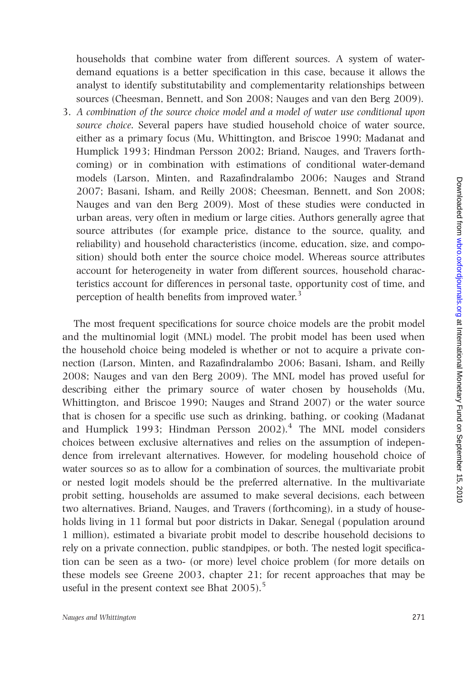households that combine water from different sources. A system of waterdemand equations is a better specification in this case, because it allows the analyst to identify substitutability and complementarity relationships between sources (Cheesman, Bennett, and Son 2008; Nauges and van den Berg 2009).

3. A combination of the source choice model and a model of water use conditional upon source choice. Several papers have studied household choice of water source, either as a primary focus (Mu, Whittington, and Briscoe 1990; Madanat and Humplick 1993; Hindman Persson 2002; Briand, Nauges, and Travers forthcoming) or in combination with estimations of conditional water-demand models (Larson, Minten, and Razafindralambo 2006; Nauges and Strand 2007; Basani, Isham, and Reilly 2008; Cheesman, Bennett, and Son 2008; Nauges and van den Berg 2009). Most of these studies were conducted in urban areas, very often in medium or large cities. Authors generally agree that source attributes (for example price, distance to the source, quality, and reliability) and household characteristics (income, education, size, and composition) should both enter the source choice model. Whereas source attributes account for heterogeneity in water from different sources, household characteristics account for differences in personal taste, opportunity cost of time, and perception of health benefits from improved water.<sup>3</sup>

The most frequent specifications for source choice models are the probit model and the multinomial logit (MNL) model. The probit model has been used when the household choice being modeled is whether or not to acquire a private connection (Larson, Minten, and Razafindralambo 2006; Basani, Isham, and Reilly 2008; Nauges and van den Berg 2009). The MNL model has proved useful for describing either the primary source of water chosen by households (Mu, Whittington, and Briscoe 1990; Nauges and Strand 2007) or the water source that is chosen for a specific use such as drinking, bathing, or cooking (Madanat and Humplick 1993; Hindman Persson  $2002$ <sup>4</sup>. The MNL model considers choices between exclusive alternatives and relies on the assumption of independence from irrelevant alternatives. However, for modeling household choice of water sources so as to allow for a combination of sources, the multivariate probit or nested logit models should be the preferred alternative. In the multivariate probit setting, households are assumed to make several decisions, each between two alternatives. Briand, Nauges, and Travers (forthcoming), in a study of households living in 11 formal but poor districts in Dakar, Senegal ( population around 1 million), estimated a bivariate probit model to describe household decisions to rely on a private connection, public standpipes, or both. The nested logit specification can be seen as a two- (or more) level choice problem (for more details on these models see Greene 2003, chapter 21; for recent approaches that may be useful in the present context see Bhat  $2005$ ).<sup>5</sup>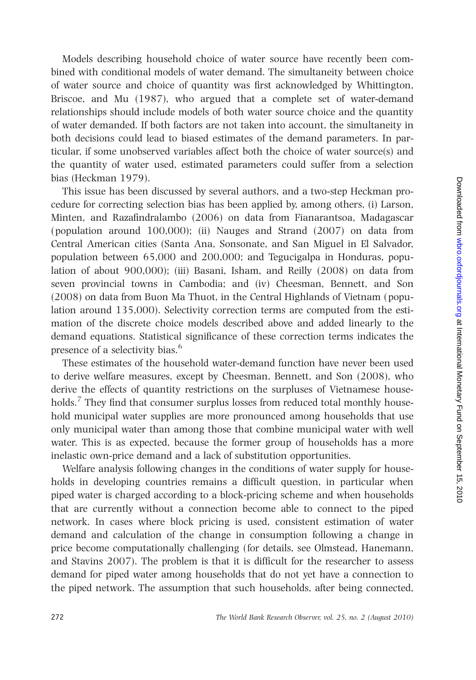Models describing household choice of water source have recently been combined with conditional models of water demand. The simultaneity between choice of water source and choice of quantity was first acknowledged by Whittington, Briscoe, and Mu (1987), who argued that a complete set of water-demand relationships should include models of both water source choice and the quantity of water demanded. If both factors are not taken into account, the simultaneity in both decisions could lead to biased estimates of the demand parameters. In particular, if some unobserved variables affect both the choice of water source(s) and the quantity of water used, estimated parameters could suffer from a selection bias (Heckman 1979).

This issue has been discussed by several authors, and a two-step Heckman procedure for correcting selection bias has been applied by, among others, (i) Larson, Minten, and Razafindralambo (2006) on data from Fianarantsoa, Madagascar (population around 100,000); (ii) Nauges and Strand (2007) on data from Central American cities (Santa Ana, Sonsonate, and San Miguel in El Salvador, population between 65,000 and 200,000; and Tegucigalpa in Honduras, population of about 900,000); (iii) Basani, Isham, and Reilly (2008) on data from seven provincial towns in Cambodia; and (iv) Cheesman, Bennett, and Son (2008) on data from Buon Ma Thuot, in the Central Highlands of Vietnam ( population around 135,000). Selectivity correction terms are computed from the estimation of the discrete choice models described above and added linearly to the demand equations. Statistical significance of these correction terms indicates the presence of a selectivity bias.<sup>6</sup>

These estimates of the household water-demand function have never been used to derive welfare measures, except by Cheesman, Bennett, and Son (2008), who derive the effects of quantity restrictions on the surpluses of Vietnamese households.<sup>7</sup> They find that consumer surplus losses from reduced total monthly household municipal water supplies are more pronounced among households that use only municipal water than among those that combine municipal water with well water. This is as expected, because the former group of households has a more inelastic own-price demand and a lack of substitution opportunities.

Welfare analysis following changes in the conditions of water supply for households in developing countries remains a difficult question, in particular when piped water is charged according to a block-pricing scheme and when households that are currently without a connection become able to connect to the piped network. In cases where block pricing is used, consistent estimation of water demand and calculation of the change in consumption following a change in price become computationally challenging (for details, see Olmstead, Hanemann, and Stavins 2007). The problem is that it is difficult for the researcher to assess demand for piped water among households that do not yet have a connection to the piped network. The assumption that such households, after being connected,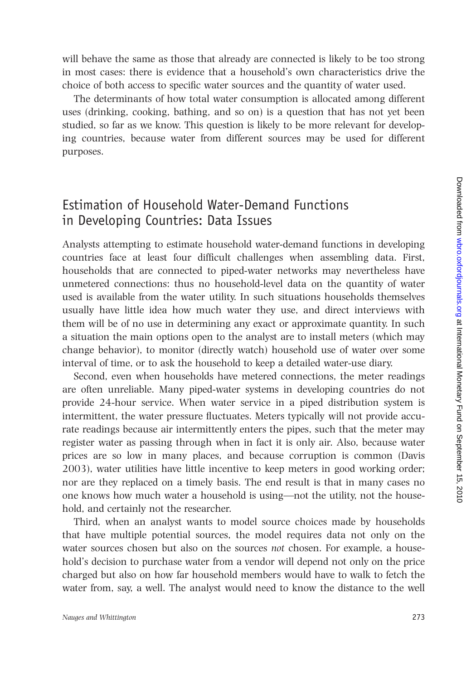will behave the same as those that already are connected is likely to be too strong in most cases: there is evidence that a household's own characteristics drive the choice of both access to specific water sources and the quantity of water used.

The determinants of how total water consumption is allocated among different uses (drinking, cooking, bathing, and so on) is a question that has not yet been studied, so far as we know. This question is likely to be more relevant for developing countries, because water from different sources may be used for different purposes.

# Estimation of Household Water-Demand Functions in Developing Countries: Data Issues

Analysts attempting to estimate household water-demand functions in developing countries face at least four difficult challenges when assembling data. First, households that are connected to piped-water networks may nevertheless have unmetered connections: thus no household-level data on the quantity of water used is available from the water utility. In such situations households themselves usually have little idea how much water they use, and direct interviews with them will be of no use in determining any exact or approximate quantity. In such a situation the main options open to the analyst are to install meters (which may change behavior), to monitor (directly watch) household use of water over some interval of time, or to ask the household to keep a detailed water-use diary.

Second, even when households have metered connections, the meter readings are often unreliable. Many piped-water systems in developing countries do not provide 24-hour service. When water service in a piped distribution system is intermittent, the water pressure fluctuates. Meters typically will not provide accurate readings because air intermittently enters the pipes, such that the meter may register water as passing through when in fact it is only air. Also, because water prices are so low in many places, and because corruption is common (Davis 2003), water utilities have little incentive to keep meters in good working order; nor are they replaced on a timely basis. The end result is that in many cases no one knows how much water a household is using—not the utility, not the household, and certainly not the researcher.

Third, when an analyst wants to model source choices made by households that have multiple potential sources, the model requires data not only on the water sources chosen but also on the sources not chosen. For example, a household's decision to purchase water from a vendor will depend not only on the price charged but also on how far household members would have to walk to fetch the water from, say, a well. The analyst would need to know the distance to the well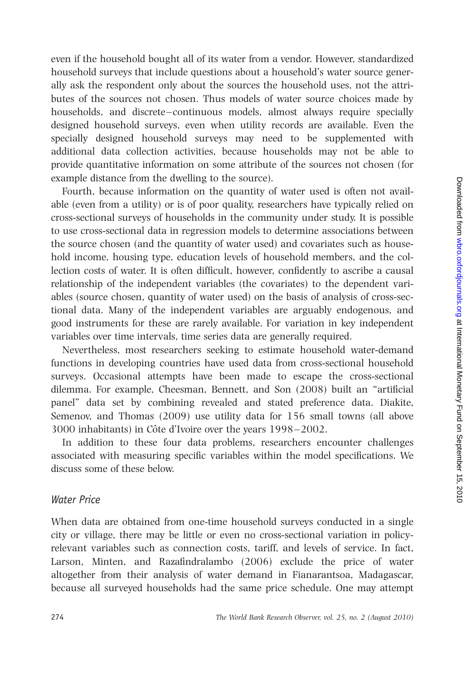even if the household bought all of its water from a vendor. However, standardized household surveys that include questions about a household's water source generally ask the respondent only about the sources the household uses, not the attributes of the sources not chosen. Thus models of water source choices made by households, and discrete–continuous models, almost always require specially designed household surveys, even when utility records are available. Even the specially designed household surveys may need to be supplemented with additional data collection activities, because households may not be able to provide quantitative information on some attribute of the sources not chosen (for example distance from the dwelling to the source).

Fourth, because information on the quantity of water used is often not available (even from a utility) or is of poor quality, researchers have typically relied on cross-sectional surveys of households in the community under study. It is possible to use cross-sectional data in regression models to determine associations between the source chosen (and the quantity of water used) and covariates such as household income, housing type, education levels of household members, and the collection costs of water. It is often difficult, however, confidently to ascribe a causal relationship of the independent variables (the covariates) to the dependent variables (source chosen, quantity of water used) on the basis of analysis of cross-sectional data. Many of the independent variables are arguably endogenous, and good instruments for these are rarely available. For variation in key independent variables over time intervals, time series data are generally required.

Nevertheless, most researchers seeking to estimate household water-demand functions in developing countries have used data from cross-sectional household surveys. Occasional attempts have been made to escape the cross-sectional dilemma. For example, Cheesman, Bennett, and Son (2008) built an "artificial panel" data set by combining revealed and stated preference data. Diakite, Semenov, and Thomas (2009) use utility data for 156 small towns (all above 3000 inhabitants) in Côte d'Ivoire over the years 1998–2002.

In addition to these four data problems, researchers encounter challenges associated with measuring specific variables within the model specifications. We discuss some of these below.

#### Water Price

When data are obtained from one-time household surveys conducted in a single city or village, there may be little or even no cross-sectional variation in policyrelevant variables such as connection costs, tariff, and levels of service. In fact, Larson, Minten, and Razafindralambo (2006) exclude the price of water altogether from their analysis of water demand in Fianarantsoa, Madagascar, because all surveyed households had the same price schedule. One may attempt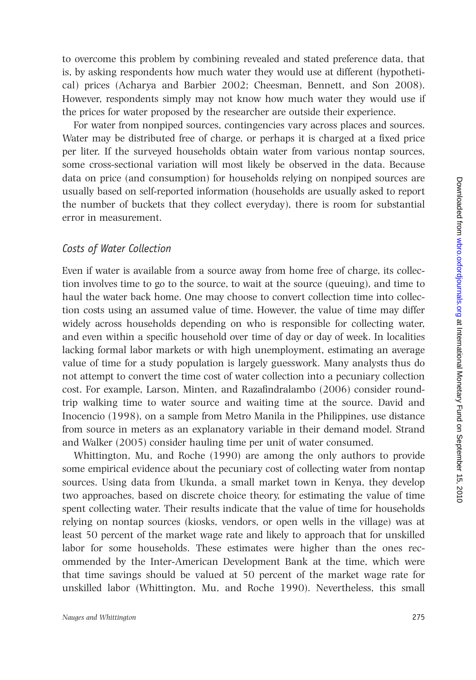to overcome this problem by combining revealed and stated preference data, that is, by asking respondents how much water they would use at different (hypothetical) prices (Acharya and Barbier 2002; Cheesman, Bennett, and Son 2008). However, respondents simply may not know how much water they would use if the prices for water proposed by the researcher are outside their experience.

For water from nonpiped sources, contingencies vary across places and sources. Water may be distributed free of charge, or perhaps it is charged at a fixed price per liter. If the surveyed households obtain water from various nontap sources, some cross-sectional variation will most likely be observed in the data. Because data on price (and consumption) for households relying on nonpiped sources are usually based on self-reported information (households are usually asked to report the number of buckets that they collect everyday), there is room for substantial error in measurement.

#### Costs of Water Collection

Even if water is available from a source away from home free of charge, its collection involves time to go to the source, to wait at the source (queuing), and time to haul the water back home. One may choose to convert collection time into collection costs using an assumed value of time. However, the value of time may differ widely across households depending on who is responsible for collecting water, and even within a specific household over time of day or day of week. In localities lacking formal labor markets or with high unemployment, estimating an average value of time for a study population is largely guesswork. Many analysts thus do not attempt to convert the time cost of water collection into a pecuniary collection cost. For example, Larson, Minten, and Razafindralambo (2006) consider roundtrip walking time to water source and waiting time at the source. David and Inocencio (1998), on a sample from Metro Manila in the Philippines, use distance from source in meters as an explanatory variable in their demand model. Strand and Walker (2005) consider hauling time per unit of water consumed.

Whittington, Mu, and Roche (1990) are among the only authors to provide some empirical evidence about the pecuniary cost of collecting water from nontap sources. Using data from Ukunda, a small market town in Kenya, they develop two approaches, based on discrete choice theory, for estimating the value of time spent collecting water. Their results indicate that the value of time for households relying on nontap sources (kiosks, vendors, or open wells in the village) was at least 50 percent of the market wage rate and likely to approach that for unskilled labor for some households. These estimates were higher than the ones recommended by the Inter-American Development Bank at the time, which were that time savings should be valued at 50 percent of the market wage rate for unskilled labor (Whittington, Mu, and Roche 1990). Nevertheless, this small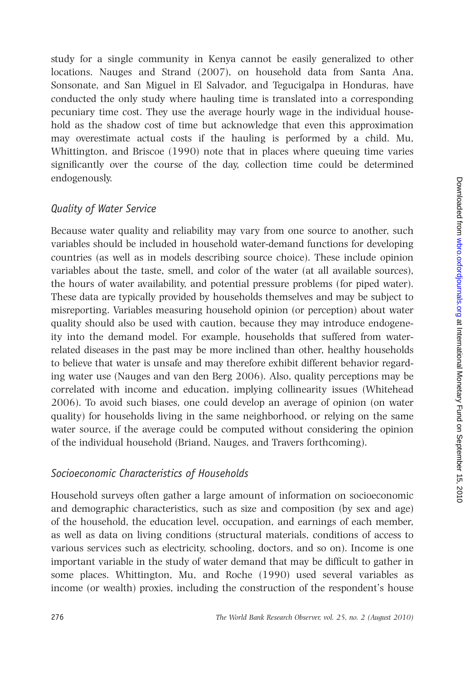study for a single community in Kenya cannot be easily generalized to other locations. Nauges and Strand (2007), on household data from Santa Ana, Sonsonate, and San Miguel in El Salvador, and Tegucigalpa in Honduras, have conducted the only study where hauling time is translated into a corresponding pecuniary time cost. They use the average hourly wage in the individual household as the shadow cost of time but acknowledge that even this approximation may overestimate actual costs if the hauling is performed by a child. Mu, Whittington, and Briscoe (1990) note that in places where queuing time varies significantly over the course of the day, collection time could be determined endogenously.

#### Quality of Water Service

Because water quality and reliability may vary from one source to another, such variables should be included in household water-demand functions for developing countries (as well as in models describing source choice). These include opinion variables about the taste, smell, and color of the water (at all available sources), the hours of water availability, and potential pressure problems (for piped water). These data are typically provided by households themselves and may be subject to misreporting. Variables measuring household opinion (or perception) about water quality should also be used with caution, because they may introduce endogeneity into the demand model. For example, households that suffered from waterrelated diseases in the past may be more inclined than other, healthy households to believe that water is unsafe and may therefore exhibit different behavior regarding water use (Nauges and van den Berg 2006). Also, quality perceptions may be correlated with income and education, implying collinearity issues (Whitehead 2006). To avoid such biases, one could develop an average of opinion (on water quality) for households living in the same neighborhood, or relying on the same water source, if the average could be computed without considering the opinion of the individual household (Briand, Nauges, and Travers forthcoming).

#### Socioeconomic Characteristics of Households

Household surveys often gather a large amount of information on socioeconomic and demographic characteristics, such as size and composition (by sex and age) of the household, the education level, occupation, and earnings of each member, as well as data on living conditions (structural materials, conditions of access to various services such as electricity, schooling, doctors, and so on). Income is one important variable in the study of water demand that may be difficult to gather in some places. Whittington, Mu, and Roche (1990) used several variables as income (or wealth) proxies, including the construction of the respondent's house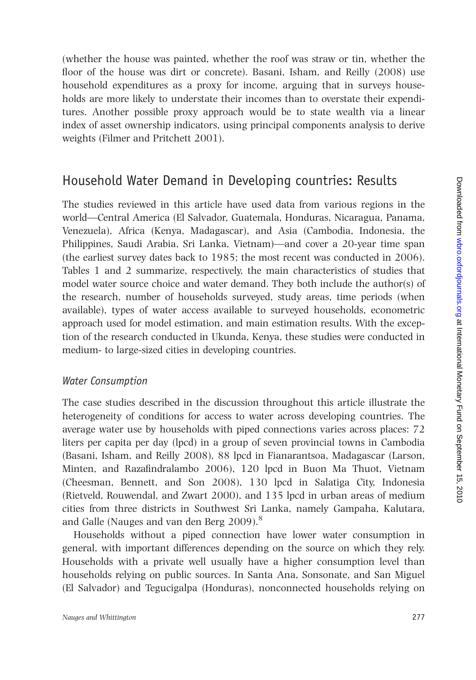(whether the house was painted, whether the roof was straw or tin, whether the floor of the house was dirt or concrete). Basani, Isham, and Reilly (2008) use household expenditures as a proxy for income, arguing that in surveys households are more likely to understate their incomes than to overstate their expenditures. Another possible proxy approach would be to state wealth via a linear index of asset ownership indicators, using principal components analysis to derive weights (Filmer and Pritchett 2001).

## Household Water Demand in Developing countries: Results

The studies reviewed in this article have used data from various regions in the world—Central America (El Salvador, Guatemala, Honduras, Nicaragua, Panama, Venezuela), Africa (Kenya, Madagascar), and Asia (Cambodia, Indonesia, the Philippines, Saudi Arabia, Sri Lanka, Vietnam)—and cover a 20-year time span (the earliest survey dates back to 1985; the most recent was conducted in 2006). Tables 1 and 2 summarize, respectively, the main characteristics of studies that model water source choice and water demand. They both include the author(s) of the research, number of households surveyed, study areas, time periods (when available), types of water access available to surveyed households, econometric approach used for model estimation, and main estimation results. With the exception of the research conducted in Ukunda, Kenya, these studies were conducted in medium- to large-sized cities in developing countries.

#### Water Consumption

The case studies described in the discussion throughout this article illustrate the heterogeneity of conditions for access to water across developing countries. The average water use by households with piped connections varies across places: 72 liters per capita per day (lpcd) in a group of seven provincial towns in Cambodia (Basani, Isham, and Reilly 2008), 88 lpcd in Fianarantsoa, Madagascar (Larson, Minten, and Razafindralambo 2006), 120 lpcd in Buon Ma Thuot, Vietnam (Cheesman, Bennett, and Son 2008), 130 lpcd in Salatiga City, Indonesia (Rietveld, Rouwendal, and Zwart 2000), and 135 lpcd in urban areas of medium cities from three districts in Southwest Sri Lanka, namely Gampaha, Kalutara, and Galle (Nauges and van den Berg 2009).<sup>8</sup>

Households without a piped connection have lower water consumption in general, with important differences depending on the source on which they rely. Households with a private well usually have a higher consumption level than households relying on public sources. In Santa Ana, Sonsonate, and San Miguel (El Salvador) and Tegucigalpa (Honduras), nonconnected households relying on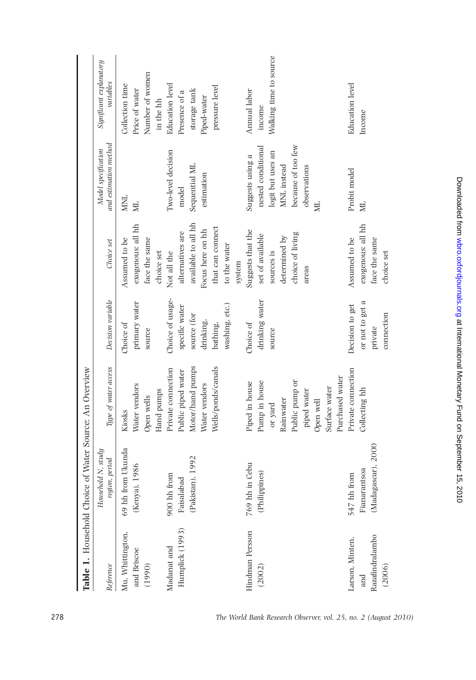|                                                   | Table 1. Household Choice of Water Source: An Overview       |                                                             |                                                                   |                                                        |                                         |
|---------------------------------------------------|--------------------------------------------------------------|-------------------------------------------------------------|-------------------------------------------------------------------|--------------------------------------------------------|-----------------------------------------|
| Household N, study<br>region, period              | Type of water access                                         | Decision variable                                           | Choice set                                                        | and estimation method<br>Model specification           | Significant explanatory<br>variables    |
| 69 hh from Ukunda<br>(Kenya), 1986                | Water vendors<br>Kiosks                                      | primary water<br>Choice of                                  | exogenous: all hh<br>Assumed to be                                | MNL<br>Ĕ                                               | Collection time<br>Price of water       |
|                                                   | Hand pumps<br>Open wells                                     | source                                                      | face the same<br>choice set                                       |                                                        | Number of women<br>in the hh            |
| 900 hh from<br>Faisalabad                         | Private connection<br>Public piped water                     | Choice of usage-<br>specific water                          | alternatives are<br>Not all the                                   | Two-level decision<br>model                            | <b>Education</b> level<br>Presence of a |
| (Pakistan), 1992                                  | Motor/hand pumps<br>Water vendors                            | source (for<br>drinking,                                    | available to all hh<br>Focus here on hh                           | Sequential ML<br>estimation                            | storage tank<br>Piped-water             |
|                                                   |                                                              | washing, etc.)                                              | to the water<br>system                                            |                                                        | pressure level                          |
| Cebu<br>(Philippines)<br>769 hh in                | Pump in house<br>Piped in house                              | drinking water<br>Choice of                                 | Suggests that the<br>set of available                             | nested conditional<br>Suggests using a                 | Annual labor<br>income                  |
|                                                   | Rainwater<br>$\;$ or yard                                    | source                                                      | determined by<br>sources is                                       | because of too few<br>logit but uses an<br>MNL instead | Walking time to source                  |
|                                                   | Purchased water<br>Surface water<br>piped water<br>Open well |                                                             | areas                                                             | observations<br>Ĕ                                      |                                         |
| (Madagascar), 2000<br>Fianarantsoa<br>547 hh from | Private connection<br>Collecting hh                          | or not to get a<br>Decision to get<br>connection<br>private | exogenous: all hh<br>Assumed to be<br>face the same<br>choice set | Probit model<br>Ĕ                                      | <b>Education</b> level<br>Income        |
|                                                   |                                                              | Wells/ponds/canals<br>Public pump or                        | bathing,                                                          | that can connect<br>choice of living                   |                                         |

278 The World Bank Research Observer, vol. 25, no. 2 (August 2010)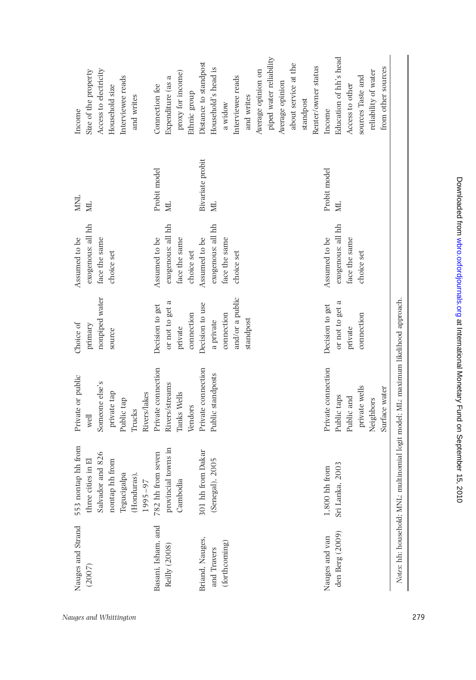| Nauges and Strand  | 553 nontap hh from                                                                   | Private or public  | Choice of       | Assumed to be     | <b>ININ</b>      | Income                  |
|--------------------|--------------------------------------------------------------------------------------|--------------------|-----------------|-------------------|------------------|-------------------------|
| (2007)             | three cities in El                                                                   | well               | primary         | exogenous: all hh | N.               | Size of the property    |
|                    | Salvador and 826                                                                     | Someone else's     | nonpiped water  | face the same     |                  | Access to electricity   |
|                    | nontap hh from                                                                       | private tap        | source          | choice set        |                  | Household size          |
|                    | Tegucigalpa                                                                          | Public tap         |                 |                   |                  | Interviewee reads       |
|                    | (Honduras),                                                                          | Trucks             |                 |                   |                  | and writes              |
|                    | $1995 - 97$                                                                          | Rivers/lakes       |                 |                   |                  |                         |
| Basani, Isham, and | 782 hh from seven                                                                    | Private connection | Decision to get | Assumed to be     | Probit model     | Connection fee          |
| Reilly (2008)      | provincial towns in                                                                  | Rivers/streams     | or not to get a | exogenous: all hh | ΣŊ               | Expenditure (as a       |
|                    | Cambodia                                                                             | Tanks Wells        | private         | face the same     |                  | proxy for income)       |
|                    |                                                                                      | Vendors            | connection      | choice set        |                  | Ethnic group            |
| Briand, Nauges,    | 301 hh from Dakar                                                                    | Private connection | Decision to use | Assumed to be     | Bivariate probit | Distance to standpost   |
| and Travers        | .2005<br>(Senegal)                                                                   | Public standposts  | a private       | exogenous: all hh | N.               | Household's head is     |
| (forthcoming)      |                                                                                      |                    | connection      | face the same     |                  | a widow                 |
|                    |                                                                                      |                    | and/or a public | choice set        |                  | Interviewee reads       |
|                    |                                                                                      |                    | standpost       |                   |                  | and writes              |
|                    |                                                                                      |                    |                 |                   |                  | Average opinion on      |
|                    |                                                                                      |                    |                 |                   |                  | piped water reliability |
|                    |                                                                                      |                    |                 |                   |                  | Average opinion         |
|                    |                                                                                      |                    |                 |                   |                  | about service at the    |
|                    |                                                                                      |                    |                 |                   |                  | standpost               |
|                    |                                                                                      |                    |                 |                   |                  | Renter/owner status     |
| Nauges and van     | from<br>$1,800$ hh $1$                                                               | Private connection | Decision to get | Assumed to be     | Probit model     | Income                  |
| den Berg (2009)    | 2003<br>Sri Lanka,                                                                   | Public taps        | or not to get a | exogenous: all hh | N.               | Education of hh's head  |
|                    |                                                                                      | Public and         | private         | face the same     |                  | Access to other         |
|                    |                                                                                      | private wells      | connection      | choice set        |                  | sources Taste and       |
|                    |                                                                                      | Neighbors          |                 |                   |                  | reliability of water    |
|                    |                                                                                      | Surface water      |                 |                   |                  | from other sources      |
|                    | Notes: hh: household; MNL: multinomial logit model; ML: maximum likelihood approach. |                    |                 |                   |                  |                         |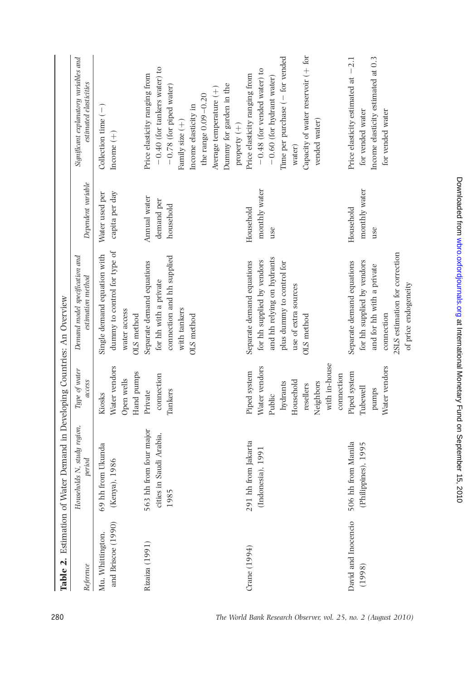|                                        | Table 2. Estimation of Water Demand in Developing Countries: An Overview |                                                                                                                           |                                                                                                                                                              |                                         |                                                                                                                                                                                                                                                    |
|----------------------------------------|--------------------------------------------------------------------------|---------------------------------------------------------------------------------------------------------------------------|--------------------------------------------------------------------------------------------------------------------------------------------------------------|-----------------------------------------|----------------------------------------------------------------------------------------------------------------------------------------------------------------------------------------------------------------------------------------------------|
| Reference                              | Households N, study region,<br>period                                    | Type of water<br>access                                                                                                   | Demand model specification and<br>estimation method                                                                                                          | Dependent variable                      | Significant explanatory variables and<br>estimated elasticities                                                                                                                                                                                    |
| and Briscoe (1990)<br>Mu, Whittington, | 69 hh from Ukunda<br>(Kenya), 1986                                       | Water vendors<br>Hand pumps<br>Open wells<br>Kiosks                                                                       | dummy to control for type of<br>Single demand equation with<br>water access<br>OLS method                                                                    | capita per day<br>Water used per        | Collection time $(-)$<br>Income $(+)$                                                                                                                                                                                                              |
| Rizaiza (1991)                         | 563 hh from four major<br>cities in Saudi Arabia,<br>1985                | connection<br>Tankers<br>Private                                                                                          | connection and hh supplied<br>Separate demand equations<br>for hh with a private<br>with tankers<br>OLS method                                               | Annual water<br>demand per<br>household | $-0.40$ (for tankers water) to<br>Price elasticity ranging from<br>Dummy for garden in the<br>$-0.78$ (for piped water)<br>Average temperature (+)<br>the range $0.09 - 0.20$<br>Income elasticity in<br>Family size (+)<br>$\text{property}\ (+)$ |
| Crane (1994)                           | 291 hh from Jakarta<br>(Indonesia), 1991                                 | with in-house<br>Water vendors<br>Piped system<br>connection<br>Household<br>hydrants<br>Neighbors<br>resellers<br>Public | and hh relying on hydrants<br>for hh supplied by vendors<br>Separate demand equations<br>plus dummy to control for<br>use of extra sources<br>OLS method     | monthly water<br>Household<br>use       | Capacity of water reservoir (+ for<br>Time per purchase $($ – for vended<br>$-0.48$ (for vended water) to<br>Price elasticity ranging from<br>$-0.60$ (for hydrant water)<br>vended water)<br>water)                                               |
| David and Inocencio<br>(1998)          | 506 hh from Manila<br>(Philippines), 1995                                | Water vendors<br>Piped system<br>Tubewell<br>pumps                                                                        | 2SLS estimation for correction<br>for hh supplied by vendors<br>Separate demand equations<br>and for hh with a private<br>of price endogeneity<br>connection | monthly water<br>Household<br>use       | Price elasticity estimated at $-2.1$<br>Income elasticity estimated at 0.3<br>for vended water<br>for vended water                                                                                                                                 |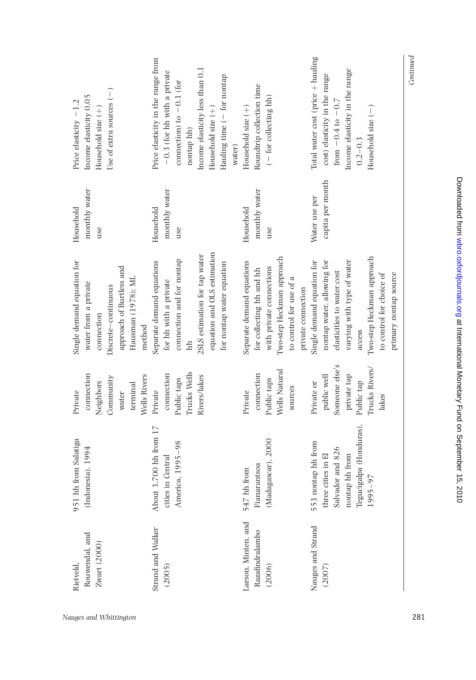| Rouwendal, and<br>Zwart (2000)<br>Rietveld,     | 951 hh from Salatiga<br>(Indonesia), 1994                                                                                | connection<br>Wells Rivers<br>Community<br>Neighbors<br>terminal<br>Private<br>water                | Single demand equation for<br>approach of Burtless and<br>Hausman (1978); ML<br>water from a private<br>Discrete-continuous<br>connection<br>method                                                              | monthly water<br>Household<br>use | Use of extra sources $(-)$<br>Income elasticity 0.05<br>Price elasticity $-1.2$<br>Household size $(+)$                                                                                                                                                          |
|-------------------------------------------------|--------------------------------------------------------------------------------------------------------------------------|-----------------------------------------------------------------------------------------------------|------------------------------------------------------------------------------------------------------------------------------------------------------------------------------------------------------------------|-----------------------------------|------------------------------------------------------------------------------------------------------------------------------------------------------------------------------------------------------------------------------------------------------------------|
| Strand and Walker<br>(2005)                     | About 3,700 hh from 17<br>America, 1995-98<br>cities in Central                                                          | Trucks Wells<br>connection<br>Rivers/lakes<br>Public taps<br>Private                                | equation and OLS estimation<br>2SLS estimation for tap water<br>connection and for nontap<br>Separate demand equations<br>for nontap water equation<br>for hh with a private<br>면                                | monthly water<br>Household<br>use | Price elasticity in the range from<br>Income elasticity less than 0.1<br>$-0.3$ (for hh with a private<br>Hauling time (- for nontap<br>connection) to $-0.1$ (for<br>Household size (+)<br>$\mathop{\rm nontap}\nolimits\, \mathop{\rm hh}\nolimits)$<br>water) |
| arson, Minten, and<br>Razafindralambo<br>(2006) | (Madagascar), 2000<br>Fianarantsoa<br>$547$ hh from                                                                      | Wells Natural<br>connection<br>Public taps<br>sources<br>Private                                    | Two-step Heckman approach<br>Separate demand equations<br>with private connections<br>for collecting hh and hh<br>to control for use of a<br>private connection                                                  | monthly water<br>Household<br>use | Roundtrip collection time<br>$($ – for collecting $hh$ )<br>Household size (+)                                                                                                                                                                                   |
| Nauges and Strand<br>(2007)                     | Tegucigalpa (Honduras),<br>553 nontap hh from<br>Salvador and 826<br>three cities in El<br>nontap hh from<br>$1995 - 97$ | Someone else's<br>Trucks Rivers/<br>private tap<br>public well<br>Public tap<br>Private or<br>lakes | Two-step Heckman approach<br>varying with type of water<br>Single demand equation for<br>nontap water, allowing for<br>elasticities to water cost<br>primary nontap source<br>to control for choice of<br>access | capita per month<br>Water use per | Total water cost (price + hauling<br>Income elasticity in the range<br>cost) elasticity in the range<br>from $-0.4$ to $-0.7$<br>Household size $(-)$<br>$0.2 - 0.3$                                                                                             |
|                                                 |                                                                                                                          |                                                                                                     |                                                                                                                                                                                                                  |                                   | Continued                                                                                                                                                                                                                                                        |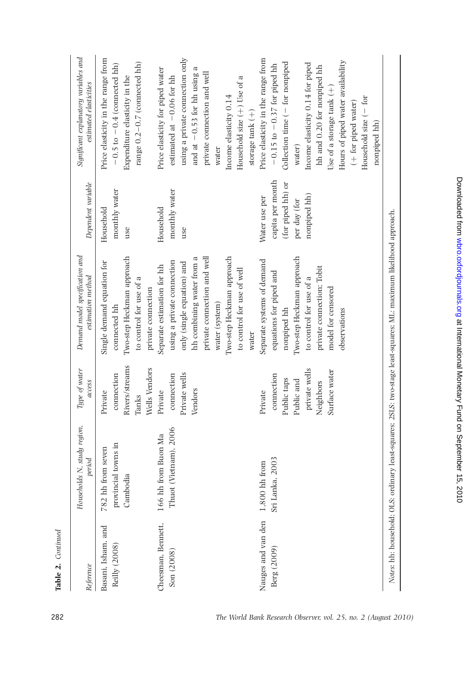| Reference                           | Households N, study region,<br>period                | Type of water<br>access                                                                           | Demand model specification and<br>estimation method                                                                                                                                                                                      | Dependent variable                                                                     | Significant explanatory variables and<br>estimated elasticities                                                                                                                                                                                                                                                                |
|-------------------------------------|------------------------------------------------------|---------------------------------------------------------------------------------------------------|------------------------------------------------------------------------------------------------------------------------------------------------------------------------------------------------------------------------------------------|----------------------------------------------------------------------------------------|--------------------------------------------------------------------------------------------------------------------------------------------------------------------------------------------------------------------------------------------------------------------------------------------------------------------------------|
| Basani, Isham, and<br>Reilly (2008) | provincial towns in<br>782 hh from seven<br>Cambodia | Rivers/streams<br>Wells Vendors<br>connection<br>Private<br>Tanks                                 | Two-step Heckman approach<br>Single demand equation for<br>to control for use of a<br>private connection<br>connected hh                                                                                                                 | monthly water<br>Household<br>use                                                      | Price elasticity in the range from<br>range 0.2-0.7 (connected hh)<br>$-0.5$ to $-0.4$ (connected hh)<br>Expenditure elasticity in the                                                                                                                                                                                         |
| Cheesman, Bennett,<br>Son (2008)    | Thuot (Vietnam), 2006<br>166 hh from Buon Ma         | Private wells<br>connection<br>Vendors<br>Private                                                 | private connection and well<br>Two-step Heckman approach<br>hh combining water from a<br>using a private connection<br>only (single equation) and<br>Separate estimation for hh<br>to control for use of well<br>water (system)<br>water | monthly water<br>Household<br>use                                                      | using a private connection only<br>Price elasticity for piped water<br>and at $-0.53$ for hh using a<br>private connection and well<br>estimated at $-0.06$ for hh<br>Household size (+) Use of a<br>Income elasticity 0.14<br>storage tank $(+)$<br>water                                                                     |
| Nauges and van den<br>Berg (2009)   | 2003<br>$1,800~\rm{hh}$ from<br>Sri Lanka,           | private wells<br>Surface water<br>connection<br>Public taps<br>Public and<br>Neighbors<br>Private | Two-step Heckman approach<br>Separate systems of demand<br>private connection; Tobit<br>equations for piped and<br>to control for use of a<br>model for censored<br>nonpiped hh<br>observations                                          | capita per month<br>(for piped hh) or<br>nonpiped hh)<br>Water use per<br>per day (for | Price elasticity in the range from<br>Hours of piped water availability<br>Collection time $($ – for nonpiped<br>Income elasticity 0.14 for piped<br>$-0.15$ to $-0.37$ for piped hh<br>hh and 0.20 for nonpiped hh<br>Use of a storage $tank (+)$<br>Household size (- for<br>$(+$ for piped water)<br>nonpiped hh)<br>water) |
|                                     |                                                      |                                                                                                   | Notes: hh: household; OLS: ordinary least-squares: 2SLS: two-stage least-squares; ML: maximum likelihood approach.                                                                                                                       |                                                                                        |                                                                                                                                                                                                                                                                                                                                |

Downloaded from wbro.oxfordjournals.org at International Monetary Fund on September 15, 2010 at International Monetary Fund on September 15, 2010 wbro.oxfordjournals.org Downloaded from

Table 2. Continued Table 2. Continued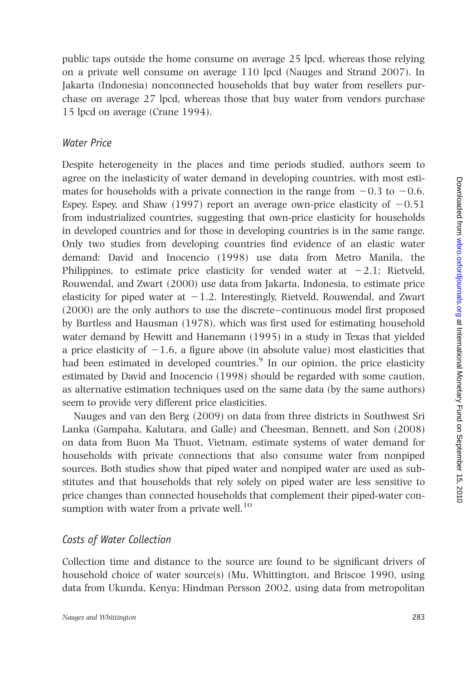public taps outside the home consume on average 25 lpcd, whereas those relying on a private well consume on average 110 lpcd (Nauges and Strand 2007). In Jakarta (Indonesia) nonconnected households that buy water from resellers purchase on average 27 lpcd, whereas those that buy water from vendors purchase 15 lpcd on average (Crane 1994).

#### Water Price

Despite heterogeneity in the places and time periods studied, authors seem to agree on the inelasticity of water demand in developing countries, with most estimates for households with a private connection in the range from  $-0.3$  to  $-0.6$ . Espey, Espey, and Shaw (1997) report an average own-price elasticity of  $-0.51$ from industrialized countries, suggesting that own-price elasticity for households in developed countries and for those in developing countries is in the same range. Only two studies from developing countries find evidence of an elastic water demand: David and Inocencio (1998) use data from Metro Manila, the Philippines, to estimate price elasticity for vended water at  $-2.1$ ; Rietveld, Rouwendal, and Zwart (2000) use data from Jakarta, Indonesia, to estimate price elasticity for piped water at  $-1.2$ . Interestingly, Rietveld, Rouwendal, and Zwart (2000) are the only authors to use the discrete–continuous model first proposed by Burtless and Hausman (1978), which was first used for estimating household water demand by Hewitt and Hanemann (1995) in a study in Texas that yielded a price elasticity of  $-1.6$ , a figure above (in absolute value) most elasticities that had been estimated in developed countries. $9$  In our opinion, the price elasticity estimated by David and Inocencio (1998) should be regarded with some caution, as alternative estimation techniques used on the same data (by the same authors) seem to provide very different price elasticities.

Nauges and van den Berg (2009) on data from three districts in Southwest Sri Lanka (Gampaha, Kalutara, and Galle) and Cheesman, Bennett, and Son (2008) on data from Buon Ma Thuot, Vietnam, estimate systems of water demand for households with private connections that also consume water from nonpiped sources. Both studies show that piped water and nonpiped water are used as substitutes and that households that rely solely on piped water are less sensitive to price changes than connected households that complement their piped-water consumption with water from a private well. $^{10}$ 

#### Costs of Water Collection

Collection time and distance to the source are found to be significant drivers of household choice of water source(s) (Mu, Whittington, and Briscoe 1990, using data from Ukunda, Kenya; Hindman Persson 2002, using data from metropolitan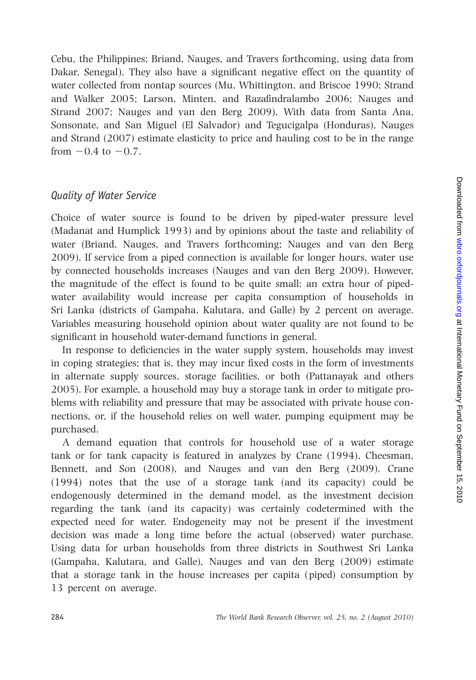Cebu, the Philippines; Briand, Nauges, and Travers forthcoming, using data from Dakar, Senegal). They also have a significant negative effect on the quantity of water collected from nontap sources (Mu, Whittington, and Briscoe 1990; Strand and Walker 2005; Larson, Minten, and Razafindralambo 2006; Nauges and Strand 2007; Nauges and van den Berg 2009). With data from Santa Ana, Sonsonate, and San Miguel (El Salvador) and Tegucigalpa (Honduras), Nauges and Strand (2007) estimate elasticity to price and hauling cost to be in the range from  $-0.4$  to  $-0.7$ .

#### Quality of Water Service

Choice of water source is found to be driven by piped-water pressure level (Madanat and Humplick 1993) and by opinions about the taste and reliability of water (Briand, Nauges, and Travers forthcoming; Nauges and van den Berg 2009). If service from a piped connection is available for longer hours, water use by connected households increases (Nauges and van den Berg 2009). However, the magnitude of the effect is found to be quite small: an extra hour of pipedwater availability would increase per capita consumption of households in Sri Lanka (districts of Gampaha, Kalutara, and Galle) by 2 percent on average. Variables measuring household opinion about water quality are not found to be significant in household water-demand functions in general.

In response to deficiencies in the water supply system, households may invest in coping strategies; that is, they may incur fixed costs in the form of investments in alternate supply sources, storage facilities, or both (Pattanayak and others 2005). For example, a household may buy a storage tank in order to mitigate problems with reliability and pressure that may be associated with private house connections, or, if the household relies on well water, pumping equipment may be purchased.

A demand equation that controls for household use of a water storage tank or for tank capacity is featured in analyzes by Crane (1994), Cheesman, Bennett, and Son (2008), and Nauges and van den Berg (2009). Crane (1994) notes that the use of a storage tank (and its capacity) could be endogenously determined in the demand model, as the investment decision regarding the tank (and its capacity) was certainly codetermined with the expected need for water. Endogeneity may not be present if the investment decision was made a long time before the actual (observed) water purchase. Using data for urban households from three districts in Southwest Sri Lanka (Gampaha, Kalutara, and Galle), Nauges and van den Berg (2009) estimate that a storage tank in the house increases per capita ( piped) consumption by 13 percent on average.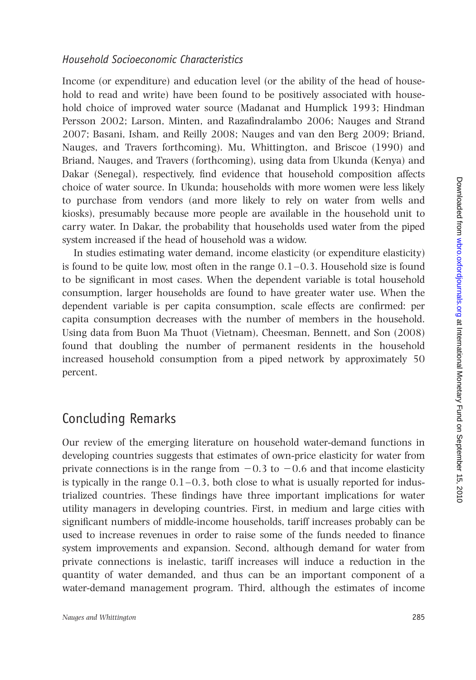#### Household Socioeconomic Characteristics

Income (or expenditure) and education level (or the ability of the head of household to read and write) have been found to be positively associated with household choice of improved water source (Madanat and Humplick 1993; Hindman Persson 2002; Larson, Minten, and Razafindralambo 2006; Nauges and Strand 2007; Basani, Isham, and Reilly 2008; Nauges and van den Berg 2009; Briand, Nauges, and Travers forthcoming). Mu, Whittington, and Briscoe (1990) and Briand, Nauges, and Travers (forthcoming), using data from Ukunda (Kenya) and Dakar (Senegal), respectively, find evidence that household composition affects choice of water source. In Ukunda; households with more women were less likely to purchase from vendors (and more likely to rely on water from wells and kiosks), presumably because more people are available in the household unit to carry water. In Dakar, the probability that households used water from the piped system increased if the head of household was a widow.

In studies estimating water demand, income elasticity (or expenditure elasticity) is found to be quite low, most often in the range  $0.1 - 0.3$ . Household size is found to be significant in most cases. When the dependent variable is total household consumption, larger households are found to have greater water use. When the dependent variable is per capita consumption, scale effects are confirmed: per capita consumption decreases with the number of members in the household. Using data from Buon Ma Thuot (Vietnam), Cheesman, Bennett, and Son (2008) found that doubling the number of permanent residents in the household increased household consumption from a piped network by approximately 50 percent.

## Concluding Remarks

Our review of the emerging literature on household water-demand functions in developing countries suggests that estimates of own-price elasticity for water from private connections is in the range from  $-0.3$  to  $-0.6$  and that income elasticity is typically in the range  $0.1 - 0.3$ , both close to what is usually reported for industrialized countries. These findings have three important implications for water utility managers in developing countries. First, in medium and large cities with significant numbers of middle-income households, tariff increases probably can be used to increase revenues in order to raise some of the funds needed to finance system improvements and expansion. Second, although demand for water from private connections is inelastic, tariff increases will induce a reduction in the quantity of water demanded, and thus can be an important component of a water-demand management program. Third, although the estimates of income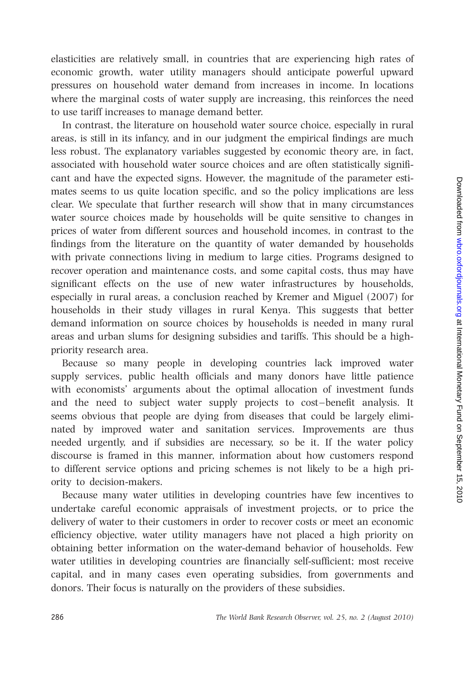elasticities are relatively small, in countries that are experiencing high rates of economic growth, water utility managers should anticipate powerful upward pressures on household water demand from increases in income. In locations where the marginal costs of water supply are increasing, this reinforces the need to use tariff increases to manage demand better.

In contrast, the literature on household water source choice, especially in rural areas, is still in its infancy, and in our judgment the empirical findings are much less robust. The explanatory variables suggested by economic theory are, in fact, associated with household water source choices and are often statistically significant and have the expected signs. However, the magnitude of the parameter estimates seems to us quite location specific, and so the policy implications are less clear. We speculate that further research will show that in many circumstances water source choices made by households will be quite sensitive to changes in prices of water from different sources and household incomes, in contrast to the findings from the literature on the quantity of water demanded by households with private connections living in medium to large cities. Programs designed to recover operation and maintenance costs, and some capital costs, thus may have significant effects on the use of new water infrastructures by households, especially in rural areas, a conclusion reached by Kremer and Miguel (2007) for households in their study villages in rural Kenya. This suggests that better demand information on source choices by households is needed in many rural areas and urban slums for designing subsidies and tariffs. This should be a highpriority research area.

Because so many people in developing countries lack improved water supply services, public health officials and many donors have little patience with economists' arguments about the optimal allocation of investment funds and the need to subject water supply projects to cost–benefit analysis. It seems obvious that people are dying from diseases that could be largely eliminated by improved water and sanitation services. Improvements are thus needed urgently, and if subsidies are necessary, so be it. If the water policy discourse is framed in this manner, information about how customers respond to different service options and pricing schemes is not likely to be a high priority to decision-makers.

Because many water utilities in developing countries have few incentives to undertake careful economic appraisals of investment projects, or to price the delivery of water to their customers in order to recover costs or meet an economic efficiency objective, water utility managers have not placed a high priority on obtaining better information on the water-demand behavior of households. Few water utilities in developing countries are financially self-sufficient; most receive capital, and in many cases even operating subsidies, from governments and donors. Their focus is naturally on the providers of these subsidies.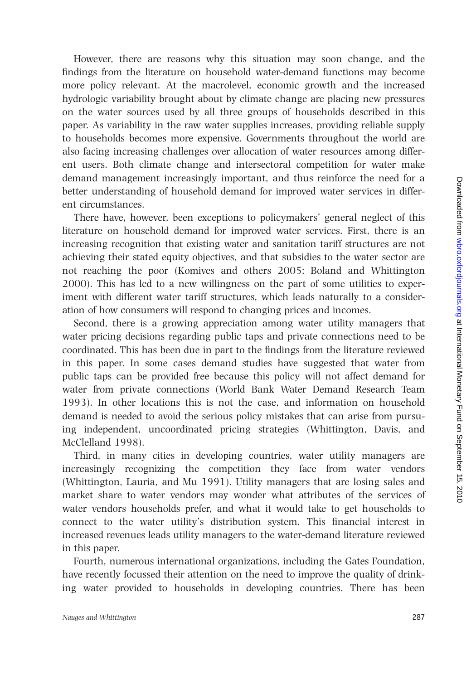However, there are reasons why this situation may soon change, and the findings from the literature on household water-demand functions may become more policy relevant. At the macrolevel, economic growth and the increased hydrologic variability brought about by climate change are placing new pressures on the water sources used by all three groups of households described in this paper. As variability in the raw water supplies increases, providing reliable supply to households becomes more expensive. Governments throughout the world are also facing increasing challenges over allocation of water resources among different users. Both climate change and intersectoral competition for water make demand management increasingly important, and thus reinforce the need for a better understanding of household demand for improved water services in different circumstances.

There have, however, been exceptions to policymakers' general neglect of this literature on household demand for improved water services. First, there is an increasing recognition that existing water and sanitation tariff structures are not achieving their stated equity objectives, and that subsidies to the water sector are not reaching the poor (Komives and others 2005; Boland and Whittington 2000). This has led to a new willingness on the part of some utilities to experiment with different water tariff structures, which leads naturally to a consideration of how consumers will respond to changing prices and incomes.

Second, there is a growing appreciation among water utility managers that water pricing decisions regarding public taps and private connections need to be coordinated. This has been due in part to the findings from the literature reviewed in this paper. In some cases demand studies have suggested that water from public taps can be provided free because this policy will not affect demand for water from private connections (World Bank Water Demand Research Team 1993). In other locations this is not the case, and information on household demand is needed to avoid the serious policy mistakes that can arise from pursuing independent, uncoordinated pricing strategies (Whittington, Davis, and McClelland 1998).

Third, in many cities in developing countries, water utility managers are increasingly recognizing the competition they face from water vendors (Whittington, Lauria, and Mu 1991). Utility managers that are losing sales and market share to water vendors may wonder what attributes of the services of water vendors households prefer, and what it would take to get households to connect to the water utility's distribution system. This financial interest in increased revenues leads utility managers to the water-demand literature reviewed in this paper.

Fourth, numerous international organizations, including the Gates Foundation, have recently focussed their attention on the need to improve the quality of drinking water provided to households in developing countries. There has been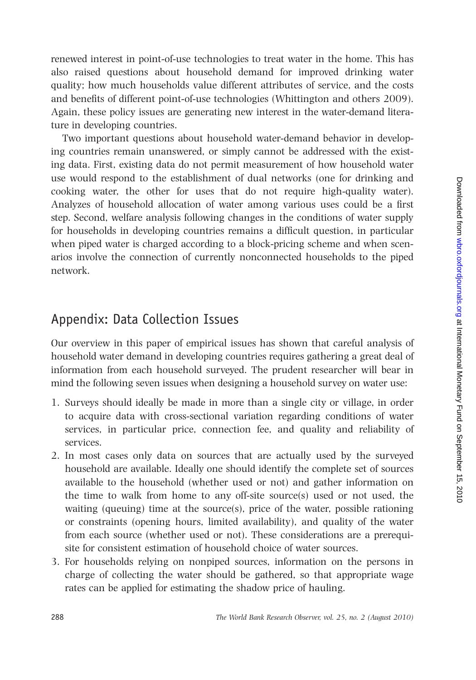renewed interest in point-of-use technologies to treat water in the home. This has also raised questions about household demand for improved drinking water quality; how much households value different attributes of service, and the costs and benefits of different point-of-use technologies (Whittington and others 2009). Again, these policy issues are generating new interest in the water-demand literature in developing countries.

Two important questions about household water-demand behavior in developing countries remain unanswered, or simply cannot be addressed with the existing data. First, existing data do not permit measurement of how household water use would respond to the establishment of dual networks (one for drinking and cooking water, the other for uses that do not require high-quality water). Analyzes of household allocation of water among various uses could be a first step. Second, welfare analysis following changes in the conditions of water supply for households in developing countries remains a difficult question, in particular when piped water is charged according to a block-pricing scheme and when scenarios involve the connection of currently nonconnected households to the piped network.

# Appendix: Data Collection Issues

Our overview in this paper of empirical issues has shown that careful analysis of household water demand in developing countries requires gathering a great deal of information from each household surveyed. The prudent researcher will bear in mind the following seven issues when designing a household survey on water use:

- 1. Surveys should ideally be made in more than a single city or village, in order to acquire data with cross-sectional variation regarding conditions of water services, in particular price, connection fee, and quality and reliability of services.
- 2. In most cases only data on sources that are actually used by the surveyed household are available. Ideally one should identify the complete set of sources available to the household (whether used or not) and gather information on the time to walk from home to any off-site source(s) used or not used, the waiting (queuing) time at the source(s), price of the water, possible rationing or constraints (opening hours, limited availability), and quality of the water from each source (whether used or not). These considerations are a prerequisite for consistent estimation of household choice of water sources.
- 3. For households relying on nonpiped sources, information on the persons in charge of collecting the water should be gathered, so that appropriate wage rates can be applied for estimating the shadow price of hauling.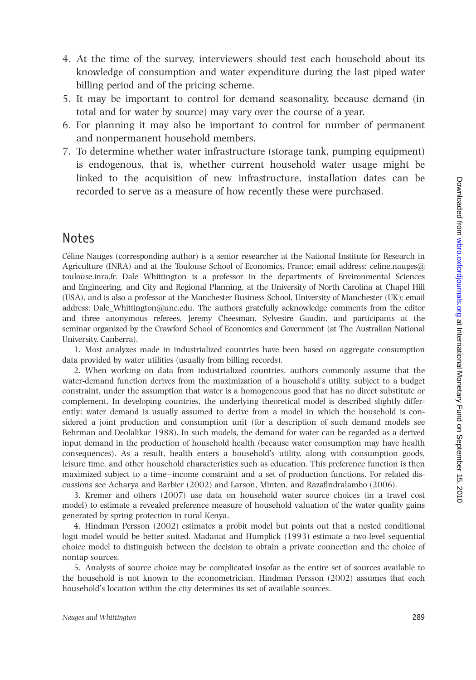- 4. At the time of the survey, interviewers should test each household about its knowledge of consumption and water expenditure during the last piped water billing period and of the pricing scheme.
- 5. It may be important to control for demand seasonality, because demand (in total and for water by source) may vary over the course of a year.
- 6. For planning it may also be important to control for number of permanent and nonpermanent household members.
- 7. To determine whether water infrastructure (storage tank, pumping equipment) is endogenous, that is, whether current household water usage might be linked to the acquisition of new infrastructure, installation dates can be recorded to serve as a measure of how recently these were purchased.

### Notes

Céline Nauges (corresponding author) is a senior researcher at the National Institute for Research in Agriculture (INRA) and at the Toulouse School of Economics, France; email address: celine.nauges $@$ toulouse.inra.fr. Dale Whittington is a professor in the departments of Environmental Sciences and Engineering, and City and Regional Planning, at the University of North Carolina at Chapel Hill (USA), and is also a professor at the Manchester Business School, University of Manchester (UK); email address: Dale\_Whittington@unc.edu. The authors gratefully acknowledge comments from the editor and three anonymous referees, Jeremy Cheesman, Sylvestre Gaudin, and participants at the seminar organized by the Crawford School of Economics and Government (at The Australian National University, Canberra).

1. Most analyzes made in industrialized countries have been based on aggregate consumption data provided by water utilities (usually from billing records).

2. When working on data from industrialized countries, authors commonly assume that the water-demand function derives from the maximization of a household's utility, subject to a budget constraint, under the assumption that water is a homogeneous good that has no direct substitute or complement. In developing countries, the underlying theoretical model is described slightly differently: water demand is usually assumed to derive from a model in which the household is considered a joint production and consumption unit (for a description of such demand models see Behrman and Deolalikar 1988). In such models, the demand for water can be regarded as a derived input demand in the production of household health (because water consumption may have health consequences). As a result, health enters a household's utility, along with consumption goods, leisure time, and other household characteristics such as education. This preference function is then maximized subject to a time–income constraint and a set of production functions. For related discussions see Acharya and Barbier (2002) and Larson, Minten, and Razafindralambo (2006).

3. Kremer and others (2007) use data on household water source choices (in a travel cost model) to estimate a revealed preference measure of household valuation of the water quality gains generated by spring protection in rural Kenya.

4. Hindman Persson (2002) estimates a probit model but points out that a nested conditional logit model would be better suited. Madanat and Humplick (1993) estimate a two-level sequential choice model to distinguish between the decision to obtain a private connection and the choice of nontap sources.

5. Analysis of source choice may be complicated insofar as the entire set of sources available to the household is not known to the econometrician. Hindman Persson (2002) assumes that each household's location within the city determines its set of available sources.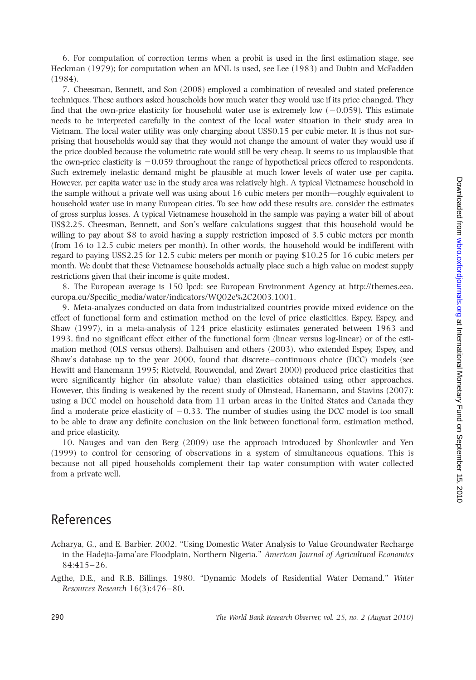6. For computation of correction terms when a probit is used in the first estimation stage, see Heckman (1979); for computation when an MNL is used, see Lee (1983) and Dubin and McFadden (1984).

7. Cheesman, Bennett, and Son (2008) employed a combination of revealed and stated preference techniques. These authors asked households how much water they would use if its price changed. They find that the own-price elasticity for household water use is extremely low  $(-0.059)$ . This estimate needs to be interpreted carefully in the context of the local water situation in their study area in Vietnam. The local water utility was only charging about US\$0.15 per cubic meter. It is thus not surprising that households would say that they would not change the amount of water they would use if the price doubled because the volumetric rate would still be very cheap. It seems to us implausible that the own-price elasticity is  $-0.059$  throughout the range of hypothetical prices offered to respondents. Such extremely inelastic demand might be plausible at much lower levels of water use per capita. However, per capita water use in the study area was relatively high. A typical Vietnamese household in the sample without a private well was using about 16 cubic meters per month—roughly equivalent to household water use in many European cities. To see how odd these results are, consider the estimates of gross surplus losses. A typical Vietnamese household in the sample was paying a water bill of about US\$2.25. Cheesman, Bennett, and Son's welfare calculations suggest that this household would be willing to pay about \$8 to avoid having a supply restriction imposed of 3.5 cubic meters per month (from 16 to 12.5 cubic meters per month). In other words, the household would be indifferent with regard to paying US\$2.25 for 12.5 cubic meters per month or paying \$10.25 for 16 cubic meters per month. We doubt that these Vietnamese households actually place such a high value on modest supply restrictions given that their income is quite modest.

8. The European average is 150 lpcd; see European Environment Agency at http://themes.eea. europa.eu/Specific\_media/water/indicators/WQ02e%2C2003.1001.

9. Meta-analyzes conducted on data from industrialized countries provide mixed evidence on the effect of functional form and estimation method on the level of price elasticities. Espey, Espey, and Shaw (1997), in a meta-analysis of 124 price elasticity estimates generated between 1963 and 1993, find no significant effect either of the functional form (linear versus log-linear) or of the estimation method (OLS versus others). Dalhuisen and others (2003), who extended Espey, Espey, and Shaw's database up to the year 2000, found that discrete–continuous choice (DCC) models (see Hewitt and Hanemann 1995; Rietveld, Rouwendal, and Zwart 2000) produced price elasticities that were significantly higher (in absolute value) than elasticities obtained using other approaches. However, this finding is weakened by the recent study of Olmstead, Hanemann, and Stavins (2007): using a DCC model on household data from 11 urban areas in the United States and Canada they find a moderate price elasticity of  $-0.33$ . The number of studies using the DCC model is too small to be able to draw any definite conclusion on the link between functional form, estimation method, and price elasticity.

10. Nauges and van den Berg (2009) use the approach introduced by Shonkwiler and Yen (1999) to control for censoring of observations in a system of simultaneous equations. This is because not all piped households complement their tap water consumption with water collected from a private well.

## References

- Acharya, G., and E. Barbier. 2002. "Using Domestic Water Analysis to Value Groundwater Recharge in the Hadejia-Jama'are Floodplain, Northern Nigeria." American Journal of Agricultural Economics 84:415–26.
- Agthe, D.E., and R.B. Billings. 1980. "Dynamic Models of Residential Water Demand." Water Resources Research 16(3):476–80.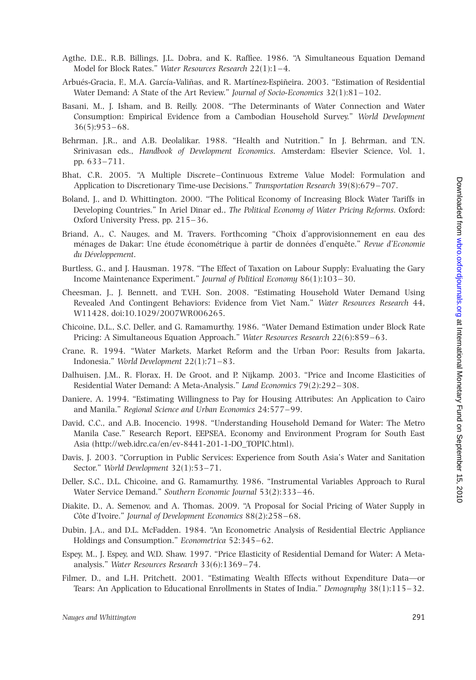- Agthe, D.E., R.B. Billings, J.L. Dobra, and K. Raffiee. 1986. "A Simultaneous Equation Demand Model for Block Rates." Water Resources Research 22(1):1–4.
- Arbués-Gracia, F., M.A. García-Valiñas, and R. Martínez-Espiñeira. 2003. "Estimation of Residential Water Demand: A State of the Art Review." Journal of Socio-Economics  $32(1)$ : $81-102$ .
- Basani, M., J. Isham, and B. Reilly. 2008. "The Determinants of Water Connection and Water Consumption: Empirical Evidence from a Cambodian Household Survey." World Development 36(5):953–68.
- Behrman, J.R., and A.B. Deolalikar. 1988. "Health and Nutrition." In J. Behrman, and T.N. Srinivasan eds., Handbook of Development Economics. Amsterdam: Elsevier Science, Vol. 1, pp. 633–711.
- Bhat, C.R. 2005. "A Multiple Discrete– Continuous Extreme Value Model: Formulation and Application to Discretionary Time-use Decisions." Transportation Research 39(8):679–707.
- Boland, J., and D. Whittington. 2000. "The Political Economy of Increasing Block Water Tariffs in Developing Countries." In Ariel Dinar ed., The Political Economy of Water Pricing Reforms. Oxford: Oxford University Press, pp. 215–36.
- Briand, A., C. Nauges, and M. Travers. Forthcoming "Choix d'approvisionnement en eau des ménages de Dakar: Une étude économétrique à partir de données d'enquête." Revue d'Economie du Développement.
- Burtless, G., and J. Hausman. 1978. "The Effect of Taxation on Labour Supply: Evaluating the Gary Income Maintenance Experiment." Journal of Political Economy 86(1):103–30.
- Cheesman, J., J. Bennett, and T.V.H. Son. 2008. "Estimating Household Water Demand Using Revealed And Contingent Behaviors: Evidence from Viet Nam." Water Resources Research 44, W11428, doi:10.1029/2007WR006265.
- Chicoine, D.L., S.C. Deller, and G. Ramamurthy. 1986. "Water Demand Estimation under Block Rate Pricing: A Simultaneous Equation Approach." Water Resources Research 22(6):859–63.
- Crane, R. 1994. "Water Markets, Market Reform and the Urban Poor: Results from Jakarta, Indonesia." World Development 22(1):71–83.
- Dalhuisen, J.M., R. Florax, H. De Groot, and P. Nijkamp. 2003. "Price and Income Elasticities of Residential Water Demand: A Meta-Analysis." Land Economics 79(2):292–308.
- Daniere, A. 1994. "Estimating Willingness to Pay for Housing Attributes: An Application to Cairo and Manila." Regional Science and Urban Economics 24:577–99.
- David, C.C., and A.B. Inocencio. 1998. "Understanding Household Demand for Water: The Metro Manila Case." Research Report, EEPSEA, Economy and Environment Program for South East Asia (http://web.idrc.ca/en/ev-8441-201-1-DO\_TOPIC.html).
- Davis, J. 2003. "Corruption in Public Services: Experience from South Asia's Water and Sanitation Sector." World Development 32(1):53–71.
- Deller, S.C., D.L. Chicoine, and G. Ramamurthy. 1986. "Instrumental Variables Approach to Rural Water Service Demand." Southern Economic Journal 53(2):333-46.
- Diakite, D., A. Semenov, and A. Thomas. 2009. "A Proposal for Social Pricing of Water Supply in Côte d'Ivoire." Journal of Development Economics 88(2):258-68.
- Dubin, J.A., and D.L. McFadden. 1984. "An Econometric Analysis of Residential Electric Appliance Holdings and Consumption." Econometrica 52:345–62.
- Espey, M., J. Espey, and W.D. Shaw. 1997. "Price Elasticity of Residential Demand for Water: A Metaanalysis." Water Resources Research 33(6):1369–74.
- Filmer, D., and L.H. Pritchett. 2001. "Estimating Wealth Effects without Expenditure Data—or Tears: An Application to Educational Enrollments in States of India." Demography 38(1):115– 32.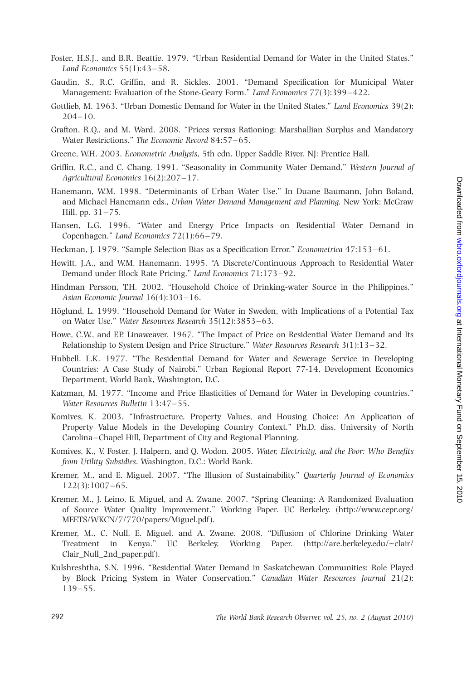- Foster, H.S.J., and B.R. Beattie. 1979. "Urban Residential Demand for Water in the United States." Land Economics 55(1):43–58.
- Gaudin, S., R.C. Griffin, and R. Sickles. 2001. "Demand Specification for Municipal Water Management: Evaluation of the Stone-Geary Form." Land Economics 77(3):399–422.
- Gottlieb, M. 1963. "Urban Domestic Demand for Water in the United States." Land Economics 39(2):  $204 - 10$ .
- Grafton, R.Q., and M. Ward. 2008. "Prices versus Rationing: Marshallian Surplus and Mandatory Water Restrictions." The Economic Record 84:57-65.
- Greene, W.H. 2003. Econometric Analysis, 5th edn. Upper Saddle River, NJ: Prentice Hall.
- Griffin, R.C., and C. Chang. 1991. "Seasonality in Community Water Demand." Western Journal of Agricultural Economics 16(2):207–17.
- Hanemann, W.M. 1998. "Determinants of Urban Water Use." In Duane Baumann, John Boland, and Michael Hanemann eds., Urban Water Demand Management and Planning. New York: McGraw Hill, pp. 31–75.
- Hansen, L.G. 1996. "Water and Energy Price Impacts on Residential Water Demand in Copenhagen." Land Economics 72(1):66–79.
- Heckman, J. 1979. "Sample Selection Bias as a Specification Error." Econometrica 47:153-61.
- Hewitt, J.A., and W.M. Hanemann. 1995. "A Discrete/Continuous Approach to Residential Water Demand under Block Rate Pricing." Land Economics 71:173– 92.
- Hindman Persson, T.H. 2002. "Household Choice of Drinking-water Source in the Philippines." Asian Economic Journal 16(4):303–16.
- Höglund, L. 1999. "Household Demand for Water in Sweden, with Implications of a Potential Tax on Water Use." Water Resources Research 35(12):3853–63.
- Howe, C.W., and F.P. Linaweaver. 1967. "The Impact of Price on Residential Water Demand and Its Relationship to System Design and Price Structure." Water Resources Research 3(1):13–32.
- Hubbell, L.K. 1977. "The Residential Demand for Water and Sewerage Service in Developing Countries: A Case Study of Nairobi." Urban Regional Report 77-14, Development Economics Department, World Bank, Washington, D.C.
- Katzman, M. 1977. "Income and Price Elasticities of Demand for Water in Developing countries." Water Resources Bulletin 13:47–55.
- Komives, K. 2003. "Infrastructure, Property Values, and Housing Choice: An Application of Property Value Models in the Developing Country Context." Ph.D. diss. University of North Carolina– Chapel Hill, Department of City and Regional Planning.
- Komives, K., V. Foster, J. Halpern, and Q. Wodon. 2005. Water, Electricity, and the Poor: Who Benefits from Utility Subsidies. Washington, D.C.: World Bank.
- Kremer, M., and E. Miguel. 2007. "The Illusion of Sustainability." Quarterly Journal of Economics 122(3):1007–65.
- Kremer, M., J. Leino, E. Miguel, and A. Zwane. 2007. "Spring Cleaning: A Randomized Evaluation of Source Water Quality Improvement." Working Paper. UC Berkeley. (http://www.cepr.org/ MEETS/WKCN/7/770/papers/Miguel.pdf ).
- Kremer, M., C. Null, E. Miguel, and A. Zwane. 2008. "Diffusion of Chlorine Drinking Water Treatment in Kenya." UC Berkeley, Working Paper. (http://are.berkeley.edu/~clair/ Clair\_Null\_2nd\_paper.pdf ).
- Kulshreshtha, S.N. 1996. "Residential Water Demand in Saskatchewan Communities: Role Played by Block Pricing System in Water Conservation." Canadian Water Resources Journal 21(2): 139–55.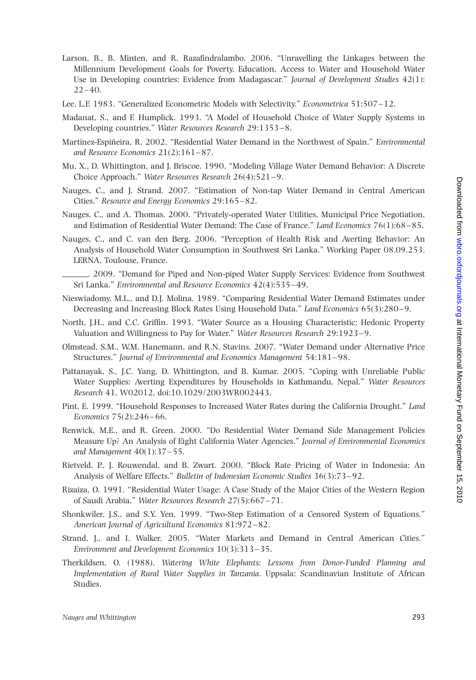- Larson, B., B. Minten, and R. Razafindralambo. 2006. "Unravelling the Linkages between the Millennium Development Goals for Poverty, Education, Access to Water and Household Water Use in Developing countries: Evidence from Madagascar." Journal of Development Studies 42(1):  $22 - 40.$
- Lee, L.F. 1983. "Generalized Econometric Models with Selectivity." Econometrica 51:507–12.
- Madanat, S., and F. Humplick. 1993. "A Model of Household Choice of Water Supply Systems in Developing countries." Water Resources Research 29:1353– 8.
- Martínez-Espiñeira, R. 2002. "Residential Water Demand in the Northwest of Spain." Environmental and Resource Economics 21(2):161–87.
- Mu, X., D. Whittington, and J. Briscoe. 1990. "Modeling Village Water Demand Behavior: A Discrete Choice Approach." Water Resources Research 26(4):521–9.
- Nauges, C., and J. Strand. 2007. "Estimation of Non-tap Water Demand in Central American Cities." Resource and Energy Economics 29:165–82.
- Nauges, C., and A. Thomas. 2000. "Privately-operated Water Utilities, Municipal Price Negotiation, and Estimation of Residential Water Demand: The Case of France." Land Economics 76(1):68–85.
- Nauges, C., and C. van den Berg. 2006. "Perception of Health Risk and Averting Behavior: An Analysis of Household Water Consumption in Southwest Sri Lanka." Working Paper 08.09.253. LERNA, Toulouse, France.
- . 2009. "Demand for Piped and Non-piped Water Supply Services: Evidence from Southwest Sri Lanka." Environmental and Resource Economics 42(4):535–49.
- Nieswiadomy, M.L., and D.J. Molina. 1989. "Comparing Residential Water Demand Estimates under Decreasing and Increasing Block Rates Using Household Data." Land Economics 65(3):280–9.
- North, J.H., and C.C. Griffin. 1993. "Water Source as a Housing Characteristic: Hedonic Property Valuation and Willingness to Pay for Water." Water Resources Research 29:1923–9.
- Olmstead, S.M., W.M. Hanemann, and R.N. Stavins. 2007. "Water Demand under Alternative Price Structures." Journal of Environmental and Economics Management 54:181–98.
- Pattanayak, S., J.C. Yang, D. Whittington, and B. Kumar. 2005. "Coping with Unreliable Public Water Supplies: Averting Expenditures by Households in Kathmandu, Nepal." Water Resources Research 41, W02012, doi:10.1029/2003WR002443.
- Pint, E. 1999. "Household Responses to Increased Water Rates during the California Drought." Land Economics 75(2):246–66.
- Renwick, M.E., and R. Green. 2000. "Do Residential Water Demand Side Management Policies Measure Up? An Analysis of Eight California Water Agencies." Journal of Environmental Economics and Management  $40(1)$ :37-55.
- Rietveld, P., J. Rouwendal, and B. Zwart. 2000. "Block Rate Pricing of Water in Indonesia: An Analysis of Welfare Effects." Bulletin of Indonesian Economic Studies 36(3):73–92.
- Rizaiza, O. 1991. "Residential Water Usage: A Case Study of the Major Cities of the Western Region of Saudi Arabia." Water Resources Research 27(5):667–71.
- Shonkwiler, J.S., and S.Y. Yen. 1999. "Two-Step Estimation of a Censored System of Equations." American Journal of Agricultural Economics 81:972-82.
- Strand, J., and I. Walker. 2005. "Water Markets and Demand in Central American Cities." Environment and Development Economics 10(3):313– 35.
- Therkildsen, O. (1988). Watering White Elephants: Lessons from Donor-Funded Planning and Implementation of Rural Water Supplies in Tanzania. Uppsala: Scandinavian Institute of African Studies.